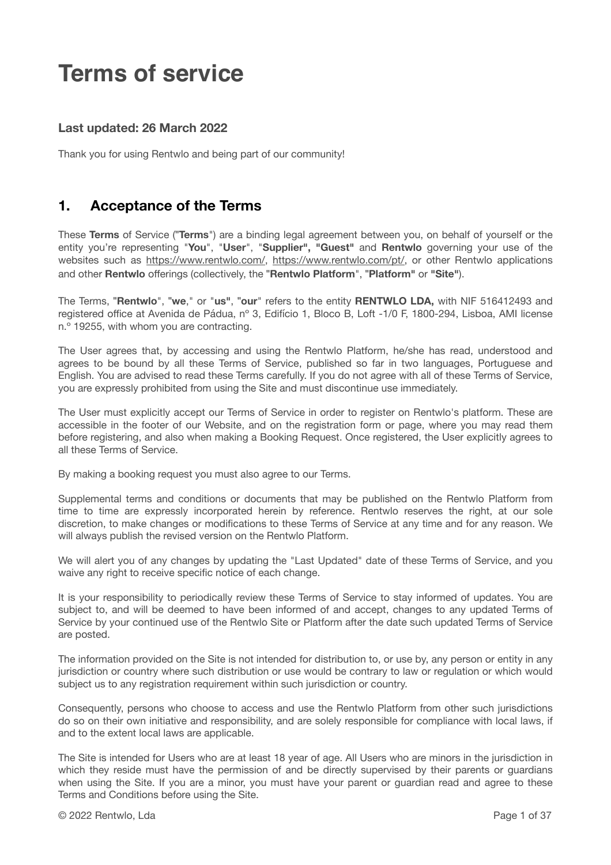# **Terms of service**

### **Last updated: 26 March 2022**

Thank you for using Rentwlo and being part of our community!

### **1. Acceptance of the Terms**

These **Terms** of Service (!**Terms**") are a binding legal agreement between you, on behalf of yourself or the entity you're representing "**You**", "**User**", "**Supplier", "Guest"** and **Rentwlo** governing your use of the websites such as <https://www.rentwlo.com/>, [https://www.rentwlo.com/pt/,](https://www.rentwlo.com/pt/) or other Rentwlo applications and other **Rentwlo** offerings (collectively, the !**Rentwlo Platform**", !**Platform"** or **"Site"**).

The Terms, !**Rentwlo**", !**we**," or "**us"**, !**our**" refers to the entity **RENTWLO LDA,** with NIF 516412493 and registered office at Avenida de Pádua, nº 3, Edifício 1, Bloco B, Loft -1/0 F, 1800-294, Lisboa, AMI license n.º 19255, with whom you are contracting.

The User agrees that, by accessing and using the Rentwlo Platform, he/she has read, understood and agrees to be bound by all these Terms of Service, published so far in two languages, Portuguese and English. You are advised to read these Terms carefully. If you do not agree with all of these Terms of Service, you are expressly prohibited from using the Site and must discontinue use immediately.

The User must explicitly accept our Terms of Service in order to register on Rentwlo's platform. These are accessible in the footer of our Website, and on the registration form or page, where you may read them before registering, and also when making a Booking Request. Once registered, the User explicitly agrees to all these Terms of Service.

By making a booking request you must also agree to our Terms.

Supplemental terms and conditions or documents that may be published on the Rentwlo Platform from time to time are expressly incorporated herein by reference. Rentwlo reserves the right, at our sole discretion, to make changes or modifications to these Terms of Service at any time and for any reason. We will always publish the revised version on the Rentwlo Platform.

We will alert you of any changes by updating the "Last Updated" date of these Terms of Service, and you waive any right to receive specific notice of each change.

It is your responsibility to periodically review these Terms of Service to stay informed of updates. You are subject to, and will be deemed to have been informed of and accept, changes to any updated Terms of Service by your continued use of the Rentwlo Site or Platform after the date such updated Terms of Service are posted.

The information provided on the Site is not intended for distribution to, or use by, any person or entity in any jurisdiction or country where such distribution or use would be contrary to law or regulation or which would subject us to any registration requirement within such jurisdiction or country.

Consequently, persons who choose to access and use the Rentwlo Platform from other such jurisdictions do so on their own initiative and responsibility, and are solely responsible for compliance with local laws, if and to the extent local laws are applicable.

The Site is intended for Users who are at least 18 year of age. All Users who are minors in the jurisdiction in which they reside must have the permission of and be directly supervised by their parents or guardians when using the Site. If you are a minor, you must have your parent or guardian read and agree to these Terms and Conditions before using the Site.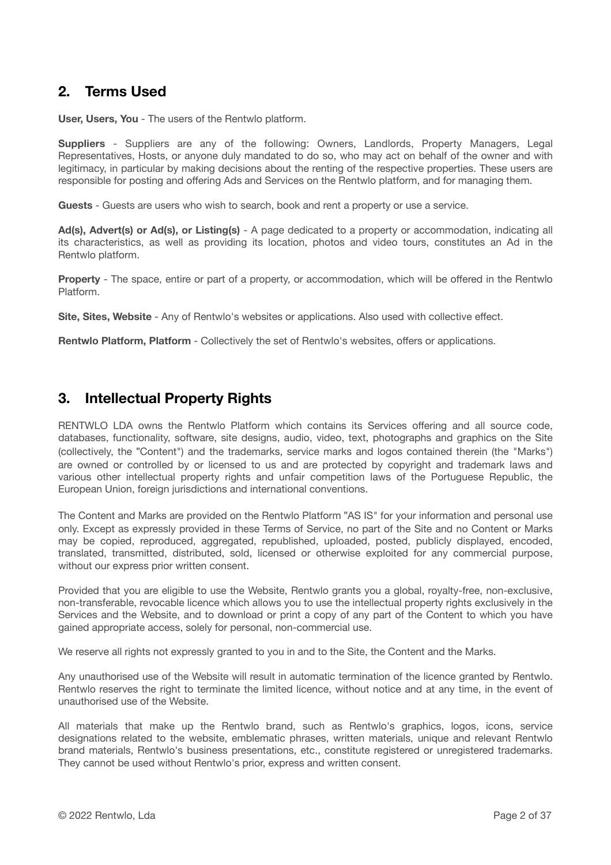# **2. Terms Used**

**User, Users, You** - The users of the Rentwlo platform.

**Suppliers** - Suppliers are any of the following: Owners, Landlords, Property Managers, Legal Representatives, Hosts, or anyone duly mandated to do so, who may act on behalf of the owner and with legitimacy, in particular by making decisions about the renting of the respective properties. These users are responsible for posting and offering Ads and Services on the Rentwlo platform, and for managing them.

**Guests** - Guests are users who wish to search, book and rent a property or use a service.

**Ad(s), Advert(s) or Ad(s), or Listing(s)** - A page dedicated to a property or accommodation, indicating all its characteristics, as well as providing its location, photos and video tours, constitutes an Ad in the Rentwlo platform.

**Property** - The space, entire or part of a property, or accommodation, which will be offered in the Rentwlo Platform.

**Site, Sites, Website** - Any of Rentwlo's websites or applications. Also used with collective effect.

**Rentwlo Platform, Platform** - Collectively the set of Rentwlo's websites, offers or applications.

### **3. Intellectual Property Rights**

RENTWLO LDA owns the Rentwlo Platform which contains its Services offering and all source code, databases, functionality, software, site designs, audio, video, text, photographs and graphics on the Site (collectively, the "Content") and the trademarks, service marks and logos contained therein (the "Marks") are owned or controlled by or licensed to us and are protected by copyright and trademark laws and various other intellectual property rights and unfair competition laws of the Portuguese Republic, the European Union, foreign jurisdictions and international conventions.

The Content and Marks are provided on the Rentwlo Platform "AS IS" for your information and personal use only. Except as expressly provided in these Terms of Service, no part of the Site and no Content or Marks may be copied, reproduced, aggregated, republished, uploaded, posted, publicly displayed, encoded, translated, transmitted, distributed, sold, licensed or otherwise exploited for any commercial purpose, without our express prior written consent.

Provided that you are eligible to use the Website, Rentwlo grants you a global, royalty-free, non-exclusive, non-transferable, revocable licence which allows you to use the intellectual property rights exclusively in the Services and the Website, and to download or print a copy of any part of the Content to which you have gained appropriate access, solely for personal, non-commercial use.

We reserve all rights not expressly granted to you in and to the Site, the Content and the Marks.

Any unauthorised use of the Website will result in automatic termination of the licence granted by Rentwlo. Rentwlo reserves the right to terminate the limited licence, without notice and at any time, in the event of unauthorised use of the Website.

All materials that make up the Rentwlo brand, such as Rentwlo's graphics, logos, icons, service designations related to the website, emblematic phrases, written materials, unique and relevant Rentwlo brand materials, Rentwlo's business presentations, etc., constitute registered or unregistered trademarks. They cannot be used without Rentwlo's prior, express and written consent.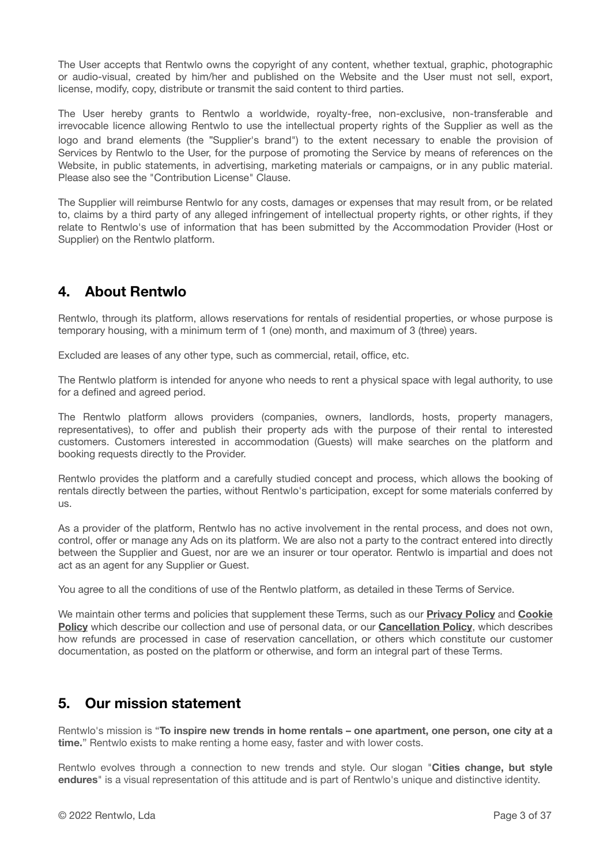The User accepts that Rentwlo owns the copyright of any content, whether textual, graphic, photographic or audio-visual, created by him/her and published on the Website and the User must not sell, export, license, modify, copy, distribute or transmit the said content to third parties.

The User hereby grants to Rentwlo a worldwide, royalty-free, non-exclusive, non-transferable and irrevocable licence allowing Rentwlo to use the intellectual property rights of the Supplier as well as the logo and brand elements (the "Supplier's brand") to the extent necessary to enable the provision of Services by Rentwlo to the User, for the purpose of promoting the Service by means of references on the Website, in public statements, in advertising, marketing materials or campaigns, or in any public material. Please also see the "Contribution License" Clause.

The Supplier will reimburse Rentwlo for any costs, damages or expenses that may result from, or be related to, claims by a third party of any alleged infringement of intellectual property rights, or other rights, if they relate to Rentwlo's use of information that has been submitted by the Accommodation Provider (Host or Supplier) on the Rentwlo platform.

# **4. About Rentwlo**

Rentwlo, through its platform, allows reservations for rentals of residential properties, or whose purpose is temporary housing, with a minimum term of 1 (one) month, and maximum of 3 (three) years.

Excluded are leases of any other type, such as commercial, retail, office, etc.

The Rentwlo platform is intended for anyone who needs to rent a physical space with legal authority, to use for a defined and agreed period.

The Rentwlo platform allows providers (companies, owners, landlords, hosts, property managers, representatives), to offer and publish their property ads with the purpose of their rental to interested customers. Customers interested in accommodation (Guests) will make searches on the platform and booking requests directly to the Provider.

Rentwlo provides the platform and a carefully studied concept and process, which allows the booking of rentals directly between the parties, without Rentwlo's participation, except for some materials conferred by us.

As a provider of the platform, Rentwlo has no active involvement in the rental process, and does not own, control, offer or manage any Ads on its platform. We are also not a party to the contract entered into directly between the Supplier and Guest, nor are we an insurer or tour operator. Rentwlo is impartial and does not act as an agent for any Supplier or Guest.

You agree to all the conditions of use of the Rentwlo platform, as detailed in these Terms of Service.

We maintain other terms and policies that supplement these Terms, such as our **[Privacy Policy](https://www.rentwlo.com/privacy-policy/)** and **[Cookie](https://www.rentwlo.com/rentwlo-cookie-policy/) [Policy](https://www.rentwlo.com/rentwlo-cookie-policy/)** which describe our collection and use of personal data, or our **[Cancellation Policy](https://www.rentwlo.com/cancellation-policy/)**, which describes how refunds are processed in case of reservation cancellation, or others which constitute our customer documentation, as posted on the platform or otherwise, and form an integral part of these Terms.

### **5. Our mission statement**

Rentwlo's mission is "**To inspire new trends in home rentals – one apartment, one person, one city at a time.**" Rentwlo exists to make renting a home easy, faster and with lower costs.

Rentwlo evolves through a connection to new trends and style. Our slogan "**Cities change, but style endures**" is a visual representation of this attitude and is part of Rentwlo's unique and distinctive identity.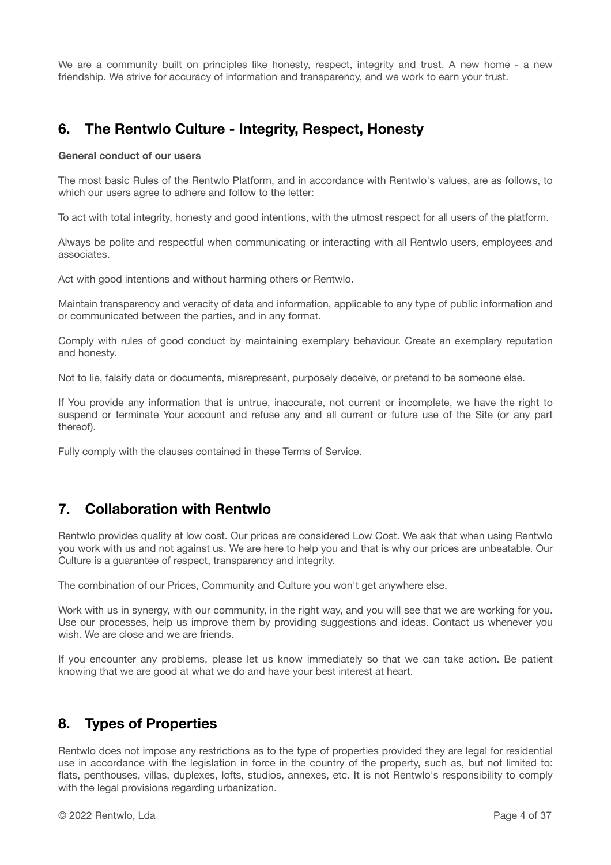We are a community built on principles like honesty, respect, integrity and trust. A new home - a new friendship. We strive for accuracy of information and transparency, and we work to earn your trust.

# **6. The Rentwlo Culture - Integrity, Respect, Honesty**

#### **General conduct of our users**

The most basic Rules of the Rentwlo Platform, and in accordance with Rentwlo's values, are as follows, to which our users agree to adhere and follow to the letter:

To act with total integrity, honesty and good intentions, with the utmost respect for all users of the platform.

Always be polite and respectful when communicating or interacting with all Rentwlo users, employees and associates.

Act with good intentions and without harming others or Rentwlo.

Maintain transparency and veracity of data and information, applicable to any type of public information and or communicated between the parties, and in any format.

Comply with rules of good conduct by maintaining exemplary behaviour. Create an exemplary reputation and honesty.

Not to lie, falsify data or documents, misrepresent, purposely deceive, or pretend to be someone else.

If You provide any information that is untrue, inaccurate, not current or incomplete, we have the right to suspend or terminate Your account and refuse any and all current or future use of the Site (or any part thereof).

Fully comply with the clauses contained in these Terms of Service.

# **7. Collaboration with Rentwlo**

Rentwlo provides quality at low cost. Our prices are considered Low Cost. We ask that when using Rentwlo you work with us and not against us. We are here to help you and that is why our prices are unbeatable. Our Culture is a guarantee of respect, transparency and integrity.

The combination of our Prices, Community and Culture you won't get anywhere else.

Work with us in synergy, with our community, in the right way, and you will see that we are working for you. Use our processes, help us improve them by providing suggestions and ideas. Contact us whenever you wish. We are close and we are friends.

If you encounter any problems, please let us know immediately so that we can take action. Be patient knowing that we are good at what we do and have your best interest at heart.

# **8. Types of Properties**

Rentwlo does not impose any restrictions as to the type of properties provided they are legal for residential use in accordance with the legislation in force in the country of the property, such as, but not limited to: flats, penthouses, villas, duplexes, lofts, studios, annexes, etc. It is not Rentwlo's responsibility to comply with the legal provisions regarding urbanization.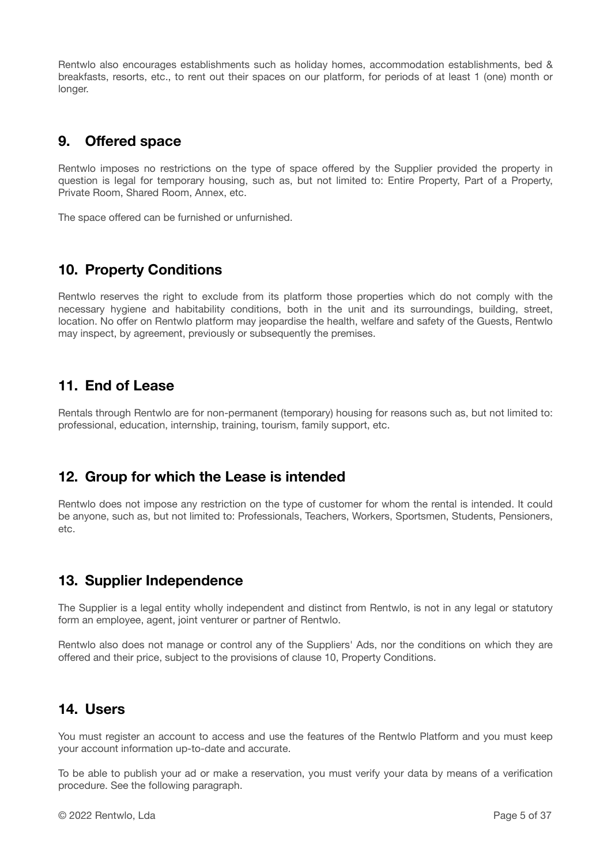Rentwlo also encourages establishments such as holiday homes, accommodation establishments, bed & breakfasts, resorts, etc., to rent out their spaces on our platform, for periods of at least 1 (one) month or longer.

# **9. Offered space**

Rentwlo imposes no restrictions on the type of space offered by the Supplier provided the property in question is legal for temporary housing, such as, but not limited to: Entire Property, Part of a Property, Private Room, Shared Room, Annex, etc.

The space offered can be furnished or unfurnished.

# **10. Property Conditions**

Rentwlo reserves the right to exclude from its platform those properties which do not comply with the necessary hygiene and habitability conditions, both in the unit and its surroundings, building, street, location. No offer on Rentwlo platform may jeopardise the health, welfare and safety of the Guests, Rentwlo may inspect, by agreement, previously or subsequently the premises.

### **11. End of Lease**

Rentals through Rentwlo are for non-permanent (temporary) housing for reasons such as, but not limited to: professional, education, internship, training, tourism, family support, etc.

### **12. Group for which the Lease is intended**

Rentwlo does not impose any restriction on the type of customer for whom the rental is intended. It could be anyone, such as, but not limited to: Professionals, Teachers, Workers, Sportsmen, Students, Pensioners, etc.

# **13. Supplier Independence**

The Supplier is a legal entity wholly independent and distinct from Rentwlo, is not in any legal or statutory form an employee, agent, joint venturer or partner of Rentwlo.

Rentwlo also does not manage or control any of the Suppliers' Ads, nor the conditions on which they are offered and their price, subject to the provisions of clause 10, Property Conditions.

### **14. Users**

You must register an account to access and use the features of the Rentwlo Platform and you must keep your account information up-to-date and accurate.

To be able to publish your ad or make a reservation, you must verify your data by means of a verification procedure. See the following paragraph.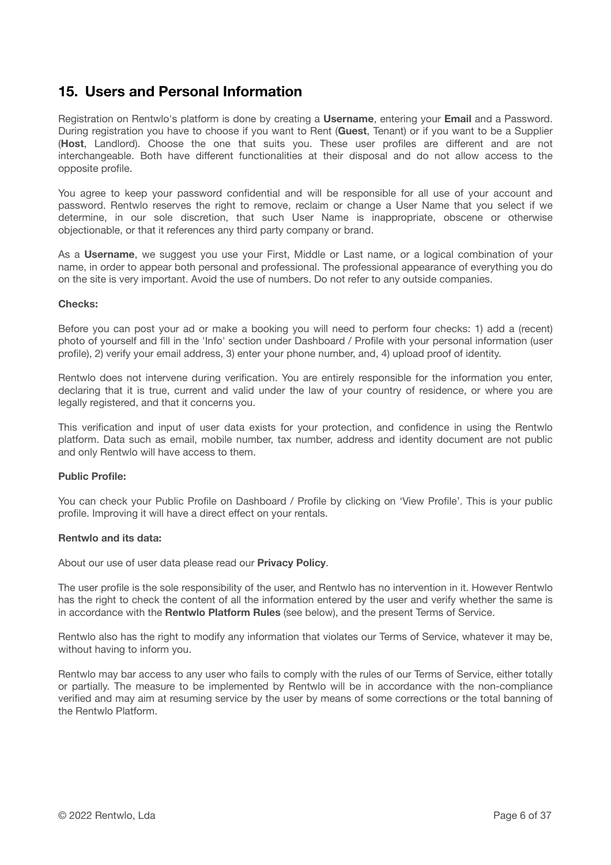### **15. Users and Personal Information**

Registration on Rentwlo's platform is done by creating a **Username**, entering your **Email** and a Password. During registration you have to choose if you want to Rent (**Guest**, Tenant) or if you want to be a Supplier (**Host**, Landlord). Choose the one that suits you. These user profiles are different and are not interchangeable. Both have different functionalities at their disposal and do not allow access to the opposite profile.

You agree to keep your password confidential and will be responsible for all use of your account and password. Rentwlo reserves the right to remove, reclaim or change a User Name that you select if we determine, in our sole discretion, that such User Name is inappropriate, obscene or otherwise objectionable, or that it references any third party company or brand.

As a **Username**, we suggest you use your First, Middle or Last name, or a logical combination of your name, in order to appear both personal and professional. The professional appearance of everything you do on the site is very important. Avoid the use of numbers. Do not refer to any outside companies.

#### **Checks:**

Before you can post your ad or make a booking you will need to perform four checks: 1) add a (recent) photo of yourself and fill in the 'Info' section under Dashboard / Profile with your personal information (user profile), 2) verify your email address, 3) enter your phone number, and, 4) upload proof of identity.

Rentwlo does not intervene during verification. You are entirely responsible for the information you enter, declaring that it is true, current and valid under the law of your country of residence, or where you are legally registered, and that it concerns you.

This verification and input of user data exists for your protection, and confidence in using the Rentwlo platform. Data such as email, mobile number, tax number, address and identity document are not public and only Rentwlo will have access to them.

#### **Public Profile:**

You can check your Public Profile on Dashboard / Profile by clicking on 'View Profile'. This is your public profile. Improving it will have a direct effect on your rentals.

#### **Rentwlo and its data:**

About our use of user data please read our **Privacy Policy**.

The user profile is the sole responsibility of the user, and Rentwlo has no intervention in it. However Rentwlo has the right to check the content of all the information entered by the user and verify whether the same is in accordance with the **Rentwlo Platform Rules** (see below), and the present Terms of Service.

Rentwlo also has the right to modify any information that violates our Terms of Service, whatever it may be, without having to inform you.

Rentwlo may bar access to any user who fails to comply with the rules of our Terms of Service, either totally or partially. The measure to be implemented by Rentwlo will be in accordance with the non-compliance verified and may aim at resuming service by the user by means of some corrections or the total banning of the Rentwlo Platform.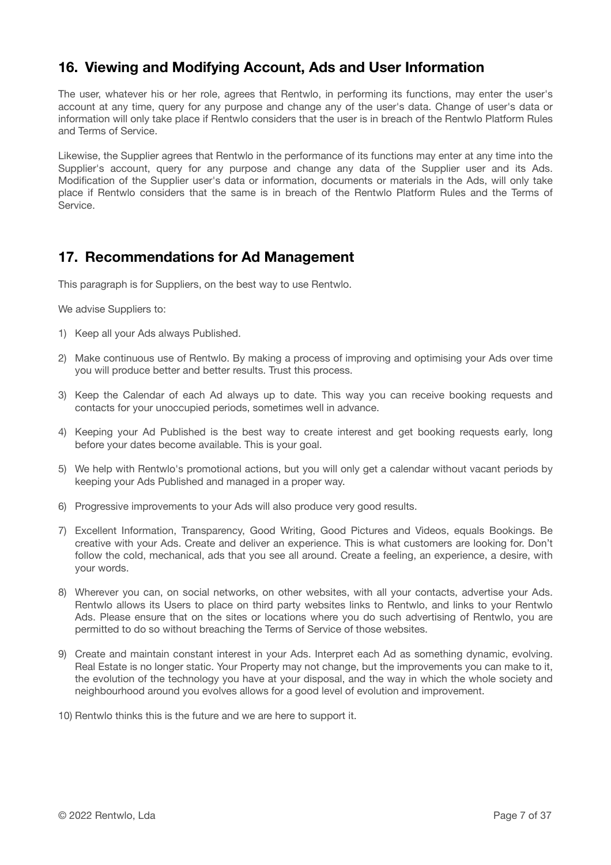# **16. Viewing and Modifying Account, Ads and User Information**

The user, whatever his or her role, agrees that Rentwlo, in performing its functions, may enter the user's account at any time, query for any purpose and change any of the user's data. Change of user's data or information will only take place if Rentwlo considers that the user is in breach of the Rentwlo Platform Rules and Terms of Service.

Likewise, the Supplier agrees that Rentwlo in the performance of its functions may enter at any time into the Supplier's account, query for any purpose and change any data of the Supplier user and its Ads. Modification of the Supplier user's data or information, documents or materials in the Ads, will only take place if Rentwlo considers that the same is in breach of the Rentwlo Platform Rules and the Terms of Service.

### **17. Recommendations for Ad Management**

This paragraph is for Suppliers, on the best way to use Rentwlo.

We advise Suppliers to:

- 1) Keep all your Ads always Published.
- 2) Make continuous use of Rentwlo. By making a process of improving and optimising your Ads over time you will produce better and better results. Trust this process.
- 3) Keep the Calendar of each Ad always up to date. This way you can receive booking requests and contacts for your unoccupied periods, sometimes well in advance.
- 4) Keeping your Ad Published is the best way to create interest and get booking requests early, long before your dates become available. This is your goal.
- 5) We help with Rentwlo's promotional actions, but you will only get a calendar without vacant periods by keeping your Ads Published and managed in a proper way.
- 6) Progressive improvements to your Ads will also produce very good results.
- 7) Excellent Information, Transparency, Good Writing, Good Pictures and Videos, equals Bookings. Be creative with your Ads. Create and deliver an experience. This is what customers are looking for. Don't follow the cold, mechanical, ads that you see all around. Create a feeling, an experience, a desire, with your words.
- 8) Wherever you can, on social networks, on other websites, with all your contacts, advertise your Ads. Rentwlo allows its Users to place on third party websites links to Rentwlo, and links to your Rentwlo Ads. Please ensure that on the sites or locations where you do such advertising of Rentwlo, you are permitted to do so without breaching the Terms of Service of those websites.
- 9) Create and maintain constant interest in your Ads. Interpret each Ad as something dynamic, evolving. Real Estate is no longer static. Your Property may not change, but the improvements you can make to it, the evolution of the technology you have at your disposal, and the way in which the whole society and neighbourhood around you evolves allows for a good level of evolution and improvement.
- 10) Rentwlo thinks this is the future and we are here to support it.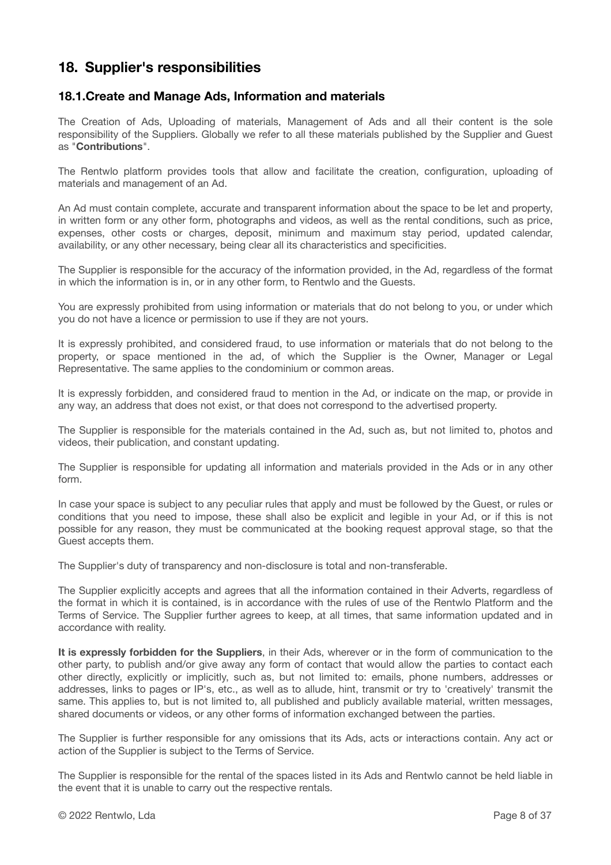### **18. Supplier's responsibilities**

### **18.1.Create and Manage Ads, Information and materials**

The Creation of Ads, Uploading of materials, Management of Ads and all their content is the sole responsibility of the Suppliers. Globally we refer to all these materials published by the Supplier and Guest as "**Contributions**".

The Rentwlo platform provides tools that allow and facilitate the creation, configuration, uploading of materials and management of an Ad.

An Ad must contain complete, accurate and transparent information about the space to be let and property, in written form or any other form, photographs and videos, as well as the rental conditions, such as price, expenses, other costs or charges, deposit, minimum and maximum stay period, updated calendar, availability, or any other necessary, being clear all its characteristics and specificities.

The Supplier is responsible for the accuracy of the information provided, in the Ad, regardless of the format in which the information is in, or in any other form, to Rentwlo and the Guests.

You are expressly prohibited from using information or materials that do not belong to you, or under which you do not have a licence or permission to use if they are not yours.

It is expressly prohibited, and considered fraud, to use information or materials that do not belong to the property, or space mentioned in the ad, of which the Supplier is the Owner, Manager or Legal Representative. The same applies to the condominium or common areas.

It is expressly forbidden, and considered fraud to mention in the Ad, or indicate on the map, or provide in any way, an address that does not exist, or that does not correspond to the advertised property.

The Supplier is responsible for the materials contained in the Ad, such as, but not limited to, photos and videos, their publication, and constant updating.

The Supplier is responsible for updating all information and materials provided in the Ads or in any other form.

In case your space is subject to any peculiar rules that apply and must be followed by the Guest, or rules or conditions that you need to impose, these shall also be explicit and legible in your Ad, or if this is not possible for any reason, they must be communicated at the booking request approval stage, so that the Guest accepts them.

The Supplier's duty of transparency and non-disclosure is total and non-transferable.

The Supplier explicitly accepts and agrees that all the information contained in their Adverts, regardless of the format in which it is contained, is in accordance with the rules of use of the Rentwlo Platform and the Terms of Service. The Supplier further agrees to keep, at all times, that same information updated and in accordance with reality.

**It is expressly forbidden for the Suppliers**, in their Ads, wherever or in the form of communication to the other party, to publish and/or give away any form of contact that would allow the parties to contact each other directly, explicitly or implicitly, such as, but not limited to: emails, phone numbers, addresses or addresses, links to pages or IP's, etc., as well as to allude, hint, transmit or try to 'creatively' transmit the same. This applies to, but is not limited to, all published and publicly available material, written messages, shared documents or videos, or any other forms of information exchanged between the parties.

The Supplier is further responsible for any omissions that its Ads, acts or interactions contain. Any act or action of the Supplier is subject to the Terms of Service.

The Supplier is responsible for the rental of the spaces listed in its Ads and Rentwlo cannot be held liable in the event that it is unable to carry out the respective rentals.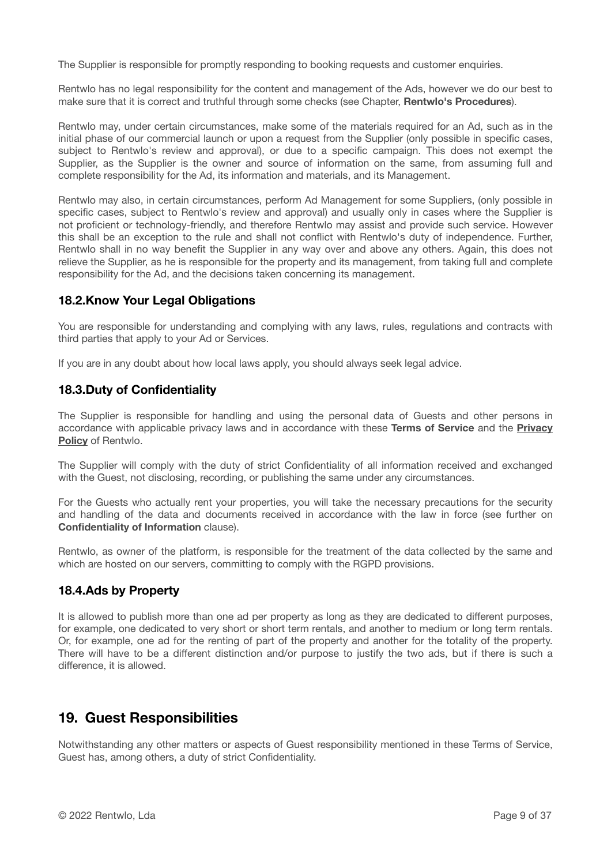The Supplier is responsible for promptly responding to booking requests and customer enquiries.

Rentwlo has no legal responsibility for the content and management of the Ads, however we do our best to make sure that it is correct and truthful through some checks (see Chapter, **Rentwlo's Procedures**).

Rentwlo may, under certain circumstances, make some of the materials required for an Ad, such as in the initial phase of our commercial launch or upon a request from the Supplier (only possible in specific cases, subject to Rentwlo's review and approval), or due to a specific campaign. This does not exempt the Supplier, as the Supplier is the owner and source of information on the same, from assuming full and complete responsibility for the Ad, its information and materials, and its Management.

Rentwlo may also, in certain circumstances, perform Ad Management for some Suppliers, (only possible in specific cases, subject to Rentwlo's review and approval) and usually only in cases where the Supplier is not proficient or technology-friendly, and therefore Rentwlo may assist and provide such service. However this shall be an exception to the rule and shall not conflict with Rentwlo's duty of independence. Further, Rentwlo shall in no way benefit the Supplier in any way over and above any others. Again, this does not relieve the Supplier, as he is responsible for the property and its management, from taking full and complete responsibility for the Ad, and the decisions taken concerning its management.

### **18.2.Know Your Legal Obligations**

You are responsible for understanding and complying with any laws, rules, regulations and contracts with third parties that apply to your Ad or Services.

If you are in any doubt about how local laws apply, you should always seek legal advice.

### **18.3.Duty of Confidentiality**

The Supplier is responsible for handling and using the personal data of Guests and other persons in accordance with applicable privacy laws and in accordance with these **Terms of Service** and the **[Privacy](https://www.rentwlo.com/privacy-policy/) [Policy](https://www.rentwlo.com/privacy-policy/)** of Rentwlo.

The Supplier will comply with the duty of strict Confidentiality of all information received and exchanged with the Guest, not disclosing, recording, or publishing the same under any circumstances.

For the Guests who actually rent your properties, you will take the necessary precautions for the security and handling of the data and documents received in accordance with the law in force (see further on **Confidentiality of Information** clause).

Rentwlo, as owner of the platform, is responsible for the treatment of the data collected by the same and which are hosted on our servers, committing to comply with the RGPD provisions.

### **18.4.Ads by Property**

It is allowed to publish more than one ad per property as long as they are dedicated to different purposes, for example, one dedicated to very short or short term rentals, and another to medium or long term rentals. Or, for example, one ad for the renting of part of the property and another for the totality of the property. There will have to be a different distinction and/or purpose to justify the two ads, but if there is such a difference, it is allowed.

### **19. Guest Responsibilities**

Notwithstanding any other matters or aspects of Guest responsibility mentioned in these Terms of Service, Guest has, among others, a duty of strict Confidentiality.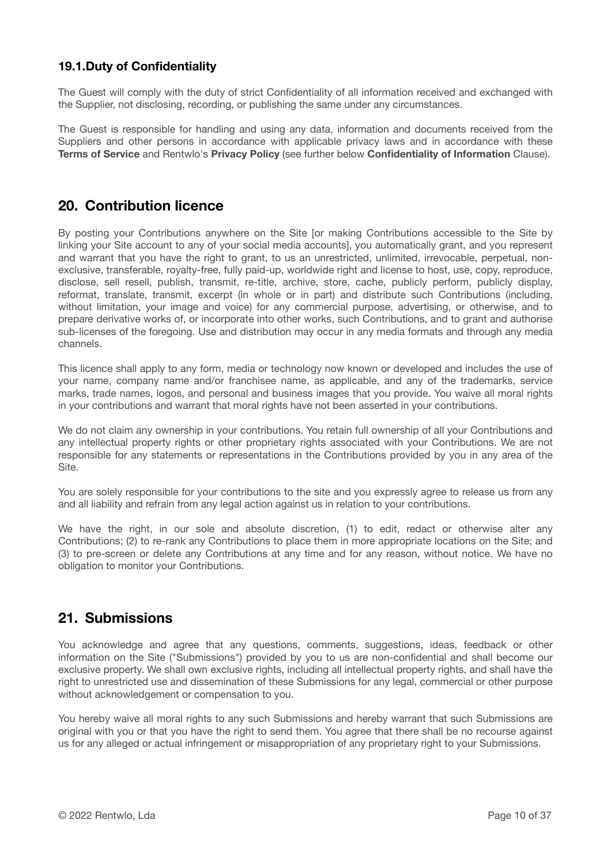### **19.1.Duty of Confidentiality**

The Guest will comply with the duty of strict Confidentiality of all information received and exchanged with the Supplier, not disclosing, recording, or publishing the same under any circumstances.

The Guest is responsible for handling and using any data, information and documents received from the Suppliers and other persons in accordance with applicable privacy laws and in accordance with these **Terms of Service** and Rentwlo's **Privacy Policy** (see further below **Confidentiality of Information** Clause).

### **20. Contribution licence**

By posting your Contributions anywhere on the Site [or making Contributions accessible to the Site by linking your Site account to any of your social media accounts], you automatically grant, and you represent and warrant that you have the right to grant, to us an unrestricted, unlimited, irrevocable, perpetual, nonexclusive, transferable, royalty-free, fully paid-up, worldwide right and license to host, use, copy, reproduce, disclose, sell resell, publish, transmit, re-title, archive, store, cache, publicly perform, publicly display, reformat, translate, transmit, excerpt (in whole or in part) and distribute such Contributions (including, without limitation, your image and voice) for any commercial purpose, advertising, or otherwise, and to prepare derivative works of, or incorporate into other works, such Contributions, and to grant and authorise sub-licenses of the foregoing. Use and distribution may occur in any media formats and through any media channels.

This licence shall apply to any form, media or technology now known or developed and includes the use of your name, company name and/or franchisee name, as applicable, and any of the trademarks, service marks, trade names, logos, and personal and business images that you provide. You waive all moral rights in your contributions and warrant that moral rights have not been asserted in your contributions.

We do not claim any ownership in your contributions. You retain full ownership of all your Contributions and any intellectual property rights or other proprietary rights associated with your Contributions. We are not responsible for any statements or representations in the Contributions provided by you in any area of the Site.

You are solely responsible for your contributions to the site and you expressly agree to release us from any and all liability and refrain from any legal action against us in relation to your contributions.

We have the right, in our sole and absolute discretion, (1) to edit, redact or otherwise alter any Contributions; (2) to re-rank any Contributions to place them in more appropriate locations on the Site; and (3) to pre-screen or delete any Contributions at any time and for any reason, without notice. We have no obligation to monitor your Contributions.

### **21. Submissions**

You acknowledge and agree that any questions, comments, suggestions, ideas, feedback or other information on the Site ("Submissions") provided by you to us are non-confidential and shall become our exclusive property. We shall own exclusive rights, including all intellectual property rights, and shall have the right to unrestricted use and dissemination of these Submissions for any legal, commercial or other purpose without acknowledgement or compensation to you.

You hereby waive all moral rights to any such Submissions and hereby warrant that such Submissions are original with you or that you have the right to send them. You agree that there shall be no recourse against us for any alleged or actual infringement or misappropriation of any proprietary right to your Submissions.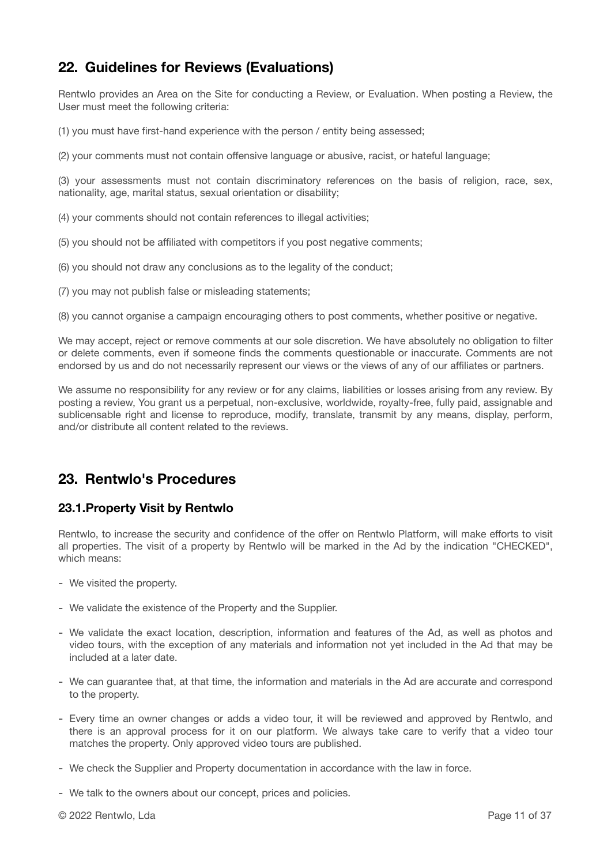# **22. Guidelines for Reviews (Evaluations)**

Rentwlo provides an Area on the Site for conducting a Review, or Evaluation. When posting a Review, the User must meet the following criteria:

(1) you must have first-hand experience with the person / entity being assessed;

(2) your comments must not contain offensive language or abusive, racist, or hateful language;

(3) your assessments must not contain discriminatory references on the basis of religion, race, sex, nationality, age, marital status, sexual orientation or disability;

(4) your comments should not contain references to illegal activities;

- (5) you should not be affiliated with competitors if you post negative comments;
- (6) you should not draw any conclusions as to the legality of the conduct;
- (7) you may not publish false or misleading statements;

(8) you cannot organise a campaign encouraging others to post comments, whether positive or negative.

We may accept, reject or remove comments at our sole discretion. We have absolutely no obligation to filter or delete comments, even if someone finds the comments questionable or inaccurate. Comments are not endorsed by us and do not necessarily represent our views or the views of any of our affiliates or partners.

We assume no responsibility for any review or for any claims, liabilities or losses arising from any review. By posting a review, You grant us a perpetual, non-exclusive, worldwide, royalty-free, fully paid, assignable and sublicensable right and license to reproduce, modify, translate, transmit by any means, display, perform, and/or distribute all content related to the reviews.

### **23. Rentwlo's Procedures**

### **23.1.Property Visit by Rentwlo**

Rentwlo, to increase the security and confidence of the offer on Rentwlo Platform, will make efforts to visit all properties. The visit of a property by Rentwlo will be marked in the Ad by the indication "CHECKED", which means:

- We visited the property.
- We validate the existence of the Property and the Supplier.
- We validate the exact location, description, information and features of the Ad, as well as photos and video tours, with the exception of any materials and information not yet included in the Ad that may be included at a later date.
- We can guarantee that, at that time, the information and materials in the Ad are accurate and correspond to the property.
- Every time an owner changes or adds a video tour, it will be reviewed and approved by Rentwlo, and there is an approval process for it on our platform. We always take care to verify that a video tour matches the property. Only approved video tours are published.
- We check the Supplier and Property documentation in accordance with the law in force.
- We talk to the owners about our concept, prices and policies.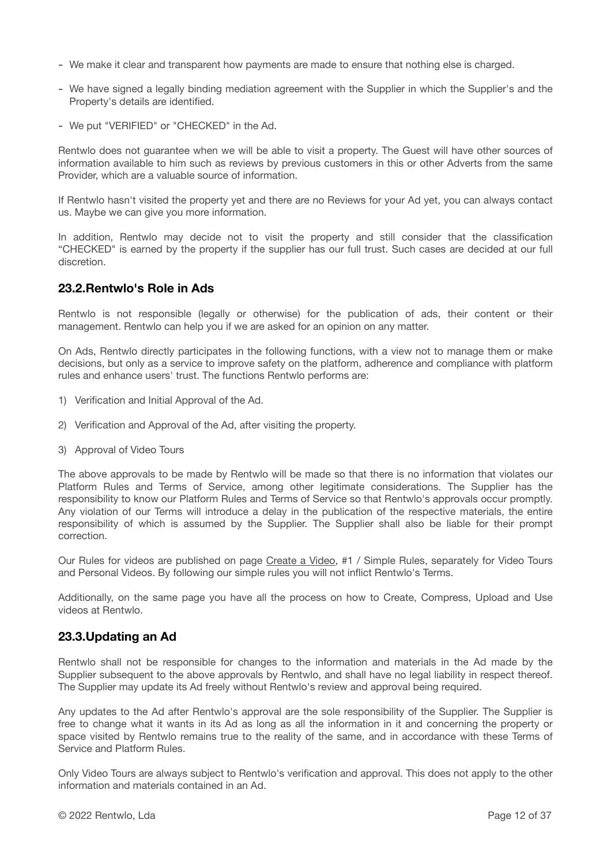- We make it clear and transparent how payments are made to ensure that nothing else is charged.
- We have signed a legally binding mediation agreement with the Supplier in which the Supplier's and the Property's details are identified.
- We put "VERIFIED" or "CHECKED" in the Ad.

Rentwlo does not guarantee when we will be able to visit a property. The Guest will have other sources of information available to him such as reviews by previous customers in this or other Adverts from the same Provider, which are a valuable source of information.

If Rentwlo hasn't visited the property yet and there are no Reviews for your Ad yet, you can always contact us. Maybe we can give you more information.

In addition, Rentwlo may decide not to visit the property and still consider that the classification "CHECKED" is earned by the property if the supplier has our full trust. Such cases are decided at our full discretion.

### **23.2.Rentwlo's Role in Ads**

Rentwlo is not responsible (legally or otherwise) for the publication of ads, their content or their management. Rentwlo can help you if we are asked for an opinion on any matter.

On Ads, Rentwlo directly participates in the following functions, with a view not to manage them or make decisions, but only as a service to improve safety on the platform, adherence and compliance with platform rules and enhance users' trust. The functions Rentwlo performs are:

- 1) Verification and Initial Approval of the Ad.
- 2) Verification and Approval of the Ad, after visiting the property.
- 3) Approval of Video Tours

The above approvals to be made by Rentwlo will be made so that there is no information that violates our Platform Rules and Terms of Service, among other legitimate considerations. The Supplier has the responsibility to know our Platform Rules and Terms of Service so that Rentwlo's approvals occur promptly. Any violation of our Terms will introduce a delay in the publication of the respective materials, the entire responsibility of which is assumed by the Supplier. The Supplier shall also be liable for their prompt correction.

Our Rules for videos are published on page [Create a Video,](https://www.rentwlo.com/create-a-video/) #1 / Simple Rules, separately for Video Tours and Personal Videos. By following our simple rules you will not inflict Rentwlo's Terms.

Additionally, on the same page you have all the process on how to Create, Compress, Upload and Use videos at Rentwlo.

#### **23.3.Updating an Ad**

Rentwlo shall not be responsible for changes to the information and materials in the Ad made by the Supplier subsequent to the above approvals by Rentwlo, and shall have no legal liability in respect thereof. The Supplier may update its Ad freely without Rentwlo's review and approval being required.

Any updates to the Ad after Rentwlo's approval are the sole responsibility of the Supplier. The Supplier is free to change what it wants in its Ad as long as all the information in it and concerning the property or space visited by Rentwlo remains true to the reality of the same, and in accordance with these Terms of Service and Platform Rules.

Only Video Tours are always subject to Rentwlo's verification and approval. This does not apply to the other information and materials contained in an Ad.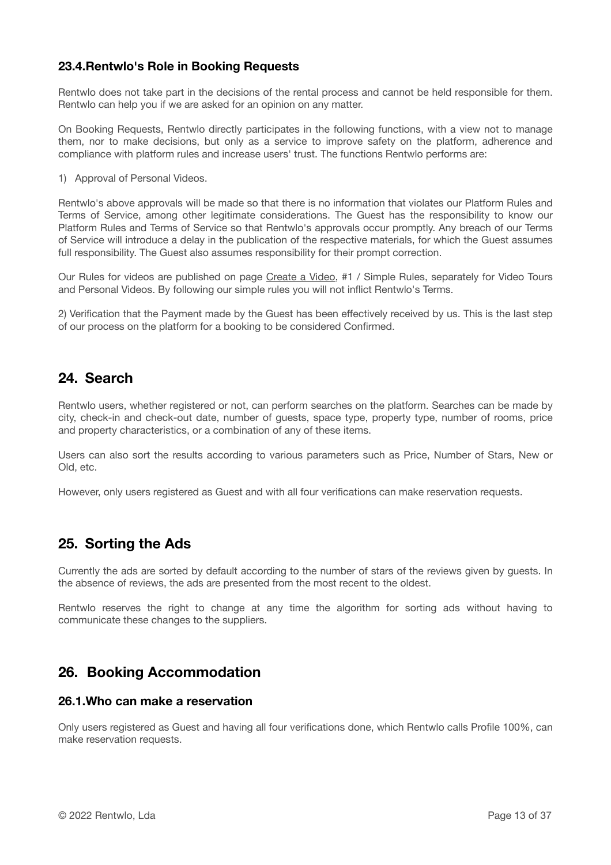### **23.4.Rentwlo's Role in Booking Requests**

Rentwlo does not take part in the decisions of the rental process and cannot be held responsible for them. Rentwlo can help you if we are asked for an opinion on any matter.

On Booking Requests, Rentwlo directly participates in the following functions, with a view not to manage them, nor to make decisions, but only as a service to improve safety on the platform, adherence and compliance with platform rules and increase users' trust. The functions Rentwlo performs are:

1) Approval of Personal Videos.

Rentwlo's above approvals will be made so that there is no information that violates our Platform Rules and Terms of Service, among other legitimate considerations. The Guest has the responsibility to know our Platform Rules and Terms of Service so that Rentwlo's approvals occur promptly. Any breach of our Terms of Service will introduce a delay in the publication of the respective materials, for which the Guest assumes full responsibility. The Guest also assumes responsibility for their prompt correction.

Our Rules for videos are published on page [Create a Video,](https://www.rentwlo.com/create-a-video/) #1 / Simple Rules, separately for Video Tours and Personal Videos. By following our simple rules you will not inflict Rentwlo's Terms.

2) Verification that the Payment made by the Guest has been effectively received by us. This is the last step of our process on the platform for a booking to be considered Confirmed.

# **24. Search**

Rentwlo users, whether registered or not, can perform searches on the platform. Searches can be made by city, check-in and check-out date, number of guests, space type, property type, number of rooms, price and property characteristics, or a combination of any of these items.

Users can also sort the results according to various parameters such as Price, Number of Stars, New or Old, etc.

However, only users registered as Guest and with all four verifications can make reservation requests.

### **25. Sorting the Ads**

Currently the ads are sorted by default according to the number of stars of the reviews given by guests. In the absence of reviews, the ads are presented from the most recent to the oldest.

Rentwlo reserves the right to change at any time the algorithm for sorting ads without having to communicate these changes to the suppliers.

### **26. Booking Accommodation**

#### **26.1.Who can make a reservation**

Only users registered as Guest and having all four verifications done, which Rentwlo calls Profile 100%, can make reservation requests.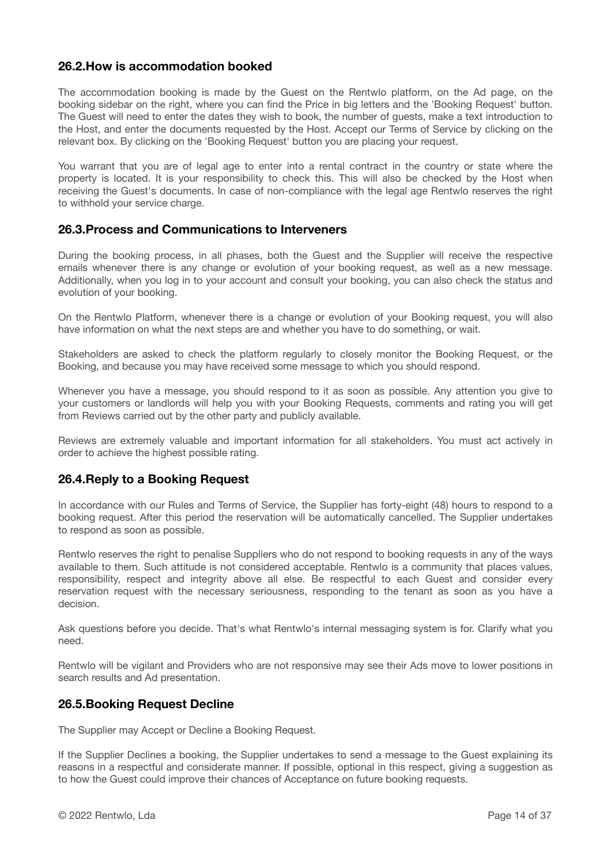### **26.2.How is accommodation booked**

The accommodation booking is made by the Guest on the Rentwlo platform, on the Ad page, on the booking sidebar on the right, where you can find the Price in big letters and the 'Booking Request' button. The Guest will need to enter the dates they wish to book, the number of guests, make a text introduction to the Host, and enter the documents requested by the Host. Accept our Terms of Service by clicking on the relevant box. By clicking on the 'Booking Request' button you are placing your request.

You warrant that you are of legal age to enter into a rental contract in the country or state where the property is located. It is your responsibility to check this. This will also be checked by the Host when receiving the Guest's documents. In case of non-compliance with the legal age Rentwlo reserves the right to withhold your service charge.

#### **26.3.Process and Communications to Interveners**

During the booking process, in all phases, both the Guest and the Supplier will receive the respective emails whenever there is any change or evolution of your booking request, as well as a new message. Additionally, when you log in to your account and consult your booking, you can also check the status and evolution of your booking.

On the Rentwlo Platform, whenever there is a change or evolution of your Booking request, you will also have information on what the next steps are and whether you have to do something, or wait.

Stakeholders are asked to check the platform regularly to closely monitor the Booking Request, or the Booking, and because you may have received some message to which you should respond.

Whenever you have a message, you should respond to it as soon as possible. Any attention you give to your customers or landlords will help you with your Booking Requests, comments and rating you will get from Reviews carried out by the other party and publicly available.

Reviews are extremely valuable and important information for all stakeholders. You must act actively in order to achieve the highest possible rating.

#### **26.4.Reply to a Booking Request**

In accordance with our Rules and Terms of Service, the Supplier has forty-eight (48) hours to respond to a booking request. After this period the reservation will be automatically cancelled. The Supplier undertakes to respond as soon as possible.

Rentwlo reserves the right to penalise Suppliers who do not respond to booking requests in any of the ways available to them. Such attitude is not considered acceptable. Rentwlo is a community that places values, responsibility, respect and integrity above all else. Be respectful to each Guest and consider every reservation request with the necessary seriousness, responding to the tenant as soon as you have a decision.

Ask questions before you decide. That's what Rentwlo's internal messaging system is for. Clarify what you need.

Rentwlo will be vigilant and Providers who are not responsive may see their Ads move to lower positions in search results and Ad presentation.

#### **26.5.Booking Request Decline**

The Supplier may Accept or Decline a Booking Request.

If the Supplier Declines a booking, the Supplier undertakes to send a message to the Guest explaining its reasons in a respectful and considerate manner. If possible, optional in this respect, giving a suggestion as to how the Guest could improve their chances of Acceptance on future booking requests.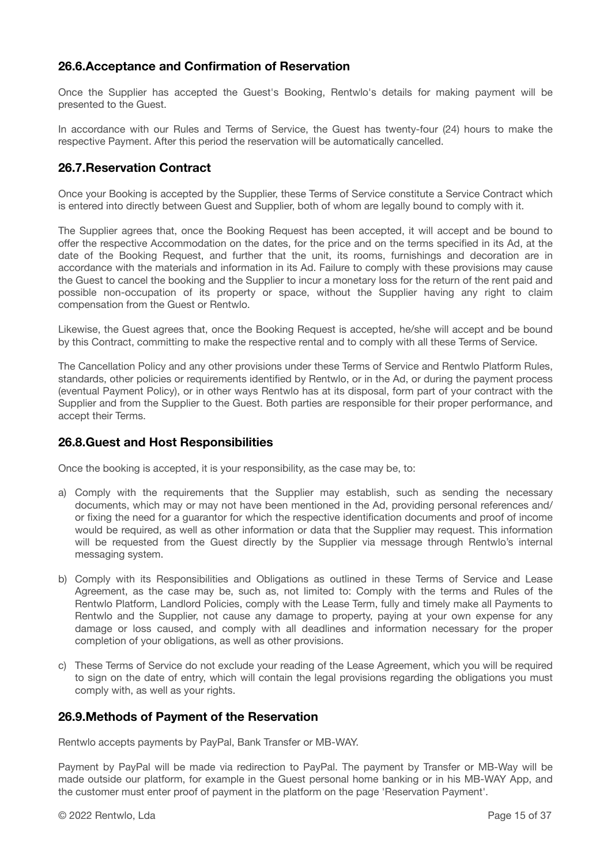### **26.6.Acceptance and Confirmation of Reservation**

Once the Supplier has accepted the Guest's Booking, Rentwlo's details for making payment will be presented to the Guest.

In accordance with our Rules and Terms of Service, the Guest has twenty-four (24) hours to make the respective Payment. After this period the reservation will be automatically cancelled.

### **26.7.Reservation Contract**

Once your Booking is accepted by the Supplier, these Terms of Service constitute a Service Contract which is entered into directly between Guest and Supplier, both of whom are legally bound to comply with it.

The Supplier agrees that, once the Booking Request has been accepted, it will accept and be bound to offer the respective Accommodation on the dates, for the price and on the terms specified in its Ad, at the date of the Booking Request, and further that the unit, its rooms, furnishings and decoration are in accordance with the materials and information in its Ad. Failure to comply with these provisions may cause the Guest to cancel the booking and the Supplier to incur a monetary loss for the return of the rent paid and possible non-occupation of its property or space, without the Supplier having any right to claim compensation from the Guest or Rentwlo.

Likewise, the Guest agrees that, once the Booking Request is accepted, he/she will accept and be bound by this Contract, committing to make the respective rental and to comply with all these Terms of Service.

The Cancellation Policy and any other provisions under these Terms of Service and Rentwlo Platform Rules, standards, other policies or requirements identified by Rentwlo, or in the Ad, or during the payment process (eventual Payment Policy), or in other ways Rentwlo has at its disposal, form part of your contract with the Supplier and from the Supplier to the Guest. Both parties are responsible for their proper performance, and accept their Terms.

#### **26.8.Guest and Host Responsibilities**

Once the booking is accepted, it is your responsibility, as the case may be, to:

- a) Comply with the requirements that the Supplier may establish, such as sending the necessary documents, which may or may not have been mentioned in the Ad, providing personal references and/ or fixing the need for a guarantor for which the respective identification documents and proof of income would be required, as well as other information or data that the Supplier may request. This information will be requested from the Guest directly by the Supplier via message through Rentwlo's internal messaging system.
- b) Comply with its Responsibilities and Obligations as outlined in these Terms of Service and Lease Agreement, as the case may be, such as, not limited to: Comply with the terms and Rules of the Rentwlo Platform, Landlord Policies, comply with the Lease Term, fully and timely make all Payments to Rentwlo and the Supplier, not cause any damage to property, paying at your own expense for any damage or loss caused, and comply with all deadlines and information necessary for the proper completion of your obligations, as well as other provisions.
- c) These Terms of Service do not exclude your reading of the Lease Agreement, which you will be required to sign on the date of entry, which will contain the legal provisions regarding the obligations you must comply with, as well as your rights.

#### **26.9.Methods of Payment of the Reservation**

Rentwlo accepts payments by PayPal, Bank Transfer or MB-WAY.

Payment by PayPal will be made via redirection to PayPal. The payment by Transfer or MB-Way will be made outside our platform, for example in the Guest personal home banking or in his MB-WAY App, and the customer must enter proof of payment in the platform on the page 'Reservation Payment'.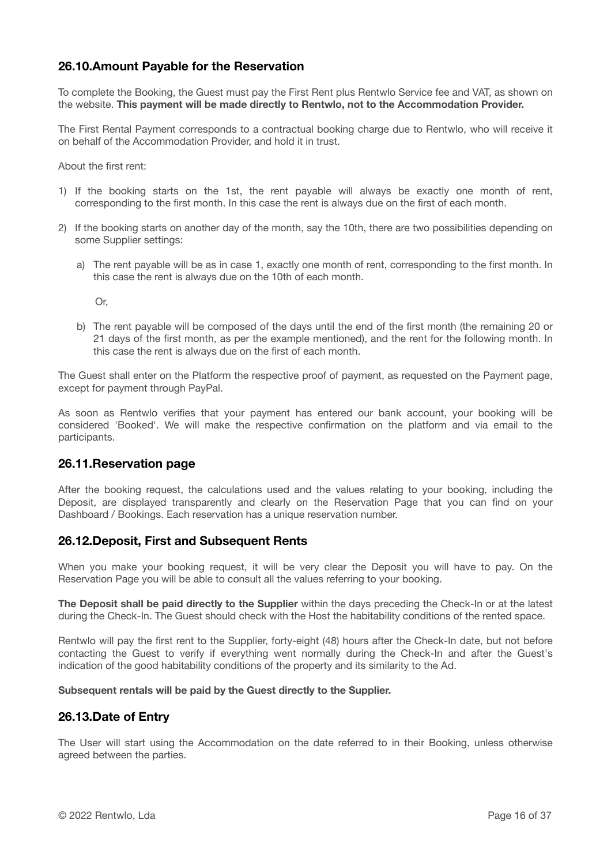### **26.10.Amount Payable for the Reservation**

To complete the Booking, the Guest must pay the First Rent plus Rentwlo Service fee and VAT, as shown on the website. **This payment will be made directly to Rentwlo, not to the Accommodation Provider.**

The First Rental Payment corresponds to a contractual booking charge due to Rentwlo, who will receive it on behalf of the Accommodation Provider, and hold it in trust.

About the first rent:

- 1) If the booking starts on the 1st, the rent payable will always be exactly one month of rent, corresponding to the first month. In this case the rent is always due on the first of each month.
- 2) If the booking starts on another day of the month, say the 10th, there are two possibilities depending on some Supplier settings:
	- a) The rent payable will be as in case 1, exactly one month of rent, corresponding to the first month. In this case the rent is always due on the 10th of each month.

Or,

b) The rent payable will be composed of the days until the end of the first month (the remaining 20 or 21 days of the first month, as per the example mentioned), and the rent for the following month. In this case the rent is always due on the first of each month.

The Guest shall enter on the Platform the respective proof of payment, as requested on the Payment page, except for payment through PayPal.

As soon as Rentwlo verifies that your payment has entered our bank account, your booking will be considered 'Booked'. We will make the respective confirmation on the platform and via email to the participants.

#### **26.11.Reservation page**

After the booking request, the calculations used and the values relating to your booking, including the Deposit, are displayed transparently and clearly on the Reservation Page that you can find on your Dashboard / Bookings. Each reservation has a unique reservation number.

#### **26.12.Deposit, First and Subsequent Rents**

When you make your booking request, it will be very clear the Deposit you will have to pay. On the Reservation Page you will be able to consult all the values referring to your booking.

**The Deposit shall be paid directly to the Supplier** within the days preceding the Check-In or at the latest during the Check-In. The Guest should check with the Host the habitability conditions of the rented space.

Rentwlo will pay the first rent to the Supplier, forty-eight (48) hours after the Check-In date, but not before contacting the Guest to verify if everything went normally during the Check-In and after the Guest's indication of the good habitability conditions of the property and its similarity to the Ad.

#### **Subsequent rentals will be paid by the Guest directly to the Supplier.**

#### **26.13.Date of Entry**

The User will start using the Accommodation on the date referred to in their Booking, unless otherwise agreed between the parties.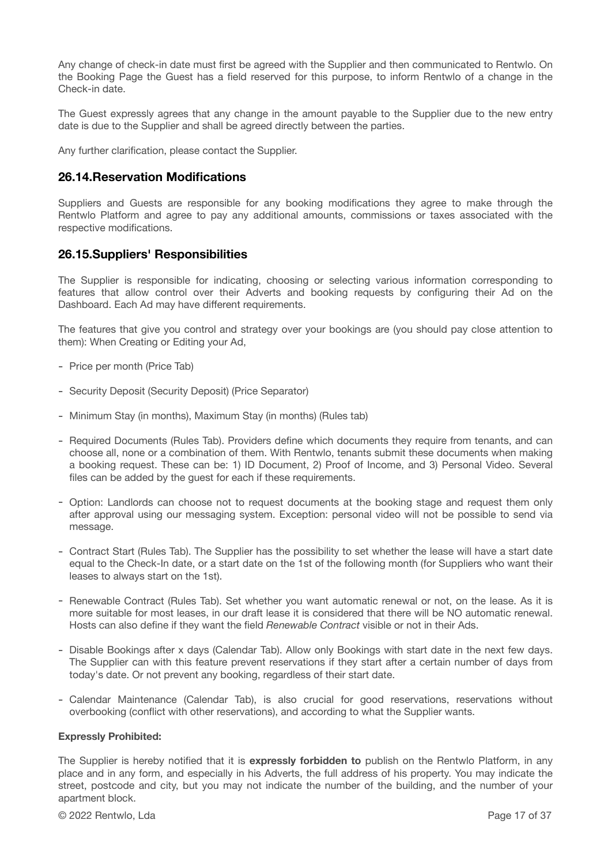Any change of check-in date must first be agreed with the Supplier and then communicated to Rentwlo. On the Booking Page the Guest has a field reserved for this purpose, to inform Rentwlo of a change in the Check-in date.

The Guest expressly agrees that any change in the amount payable to the Supplier due to the new entry date is due to the Supplier and shall be agreed directly between the parties.

Any further clarification, please contact the Supplier.

#### **26.14.Reservation Modifications**

Suppliers and Guests are responsible for any booking modifications they agree to make through the Rentwlo Platform and agree to pay any additional amounts, commissions or taxes associated with the respective modifications.

#### **26.15.Suppliers' Responsibilities**

The Supplier is responsible for indicating, choosing or selecting various information corresponding to features that allow control over their Adverts and booking requests by configuring their Ad on the Dashboard. Each Ad may have different requirements.

The features that give you control and strategy over your bookings are (you should pay close attention to them): When Creating or Editing your Ad,

- Price per month (Price Tab)
- Security Deposit (Security Deposit) (Price Separator)
- Minimum Stay (in months), Maximum Stay (in months) (Rules tab)
- Required Documents (Rules Tab). Providers define which documents they require from tenants, and can choose all, none or a combination of them. With Rentwlo, tenants submit these documents when making a booking request. These can be: 1) ID Document, 2) Proof of Income, and 3) Personal Video. Several files can be added by the guest for each if these requirements.
- Option: Landlords can choose not to request documents at the booking stage and request them only after approval using our messaging system. Exception: personal video will not be possible to send via message.
- Contract Start (Rules Tab). The Supplier has the possibility to set whether the lease will have a start date equal to the Check-In date, or a start date on the 1st of the following month (for Suppliers who want their leases to always start on the 1st).
- Renewable Contract (Rules Tab). Set whether you want automatic renewal or not, on the lease. As it is more suitable for most leases, in our draft lease it is considered that there will be NO automatic renewal. Hosts can also define if they want the field *Renewable Contract* visible or not in their Ads.
- Disable Bookings after x days (Calendar Tab). Allow only Bookings with start date in the next few days. The Supplier can with this feature prevent reservations if they start after a certain number of days from today's date. Or not prevent any booking, regardless of their start date.
- Calendar Maintenance (Calendar Tab), is also crucial for good reservations, reservations without overbooking (conflict with other reservations), and according to what the Supplier wants.

#### **Expressly Prohibited:**

The Supplier is hereby notified that it is **expressly forbidden to** publish on the Rentwlo Platform, in any place and in any form, and especially in his Adverts, the full address of his property. You may indicate the street, postcode and city, but you may not indicate the number of the building, and the number of your apartment block.

© 2022 Rentwlo, Lda Page 17 of 37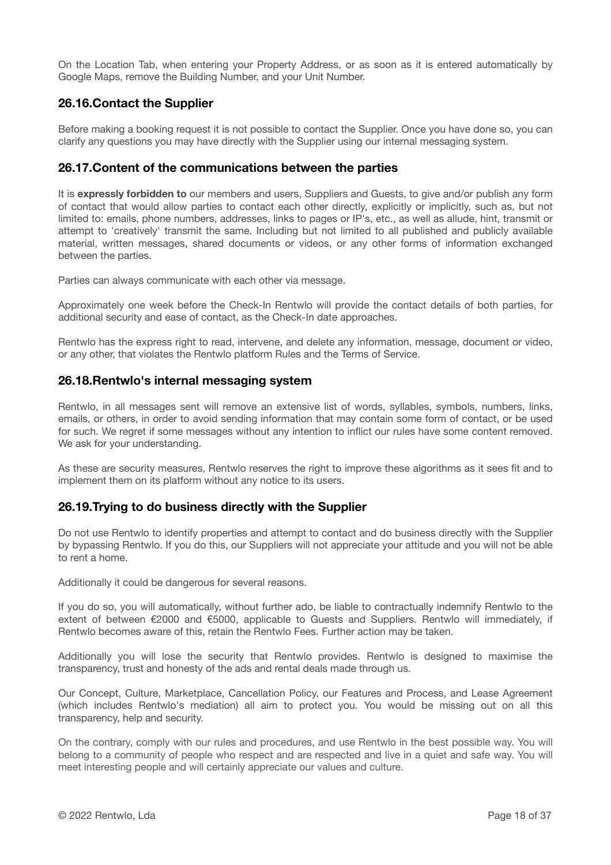On the Location Tab, when entering your Property Address, or as soon as it is entered automatically by Google Maps, remove the Building Number, and your Unit Number.

### **26.16.Contact the Supplier**

Before making a booking request it is not possible to contact the Supplier. Once you have done so, you can clarify any questions you may have directly with the Supplier using our internal messaging system.

#### **26.17.Content of the communications between the parties**

It is **expressly forbidden to** our members and users, Suppliers and Guests, to give and/or publish any form of contact that would allow parties to contact each other directly, explicitly or implicitly, such as, but not limited to: emails, phone numbers, addresses, links to pages or IP's, etc., as well as allude, hint, transmit or attempt to 'creatively' transmit the same. Including but not limited to all published and publicly available material, written messages, shared documents or videos, or any other forms of information exchanged between the parties.

Parties can always communicate with each other via message.

Approximately one week before the Check-In Rentwlo will provide the contact details of both parties, for additional security and ease of contact, as the Check-In date approaches.

Rentwlo has the express right to read, intervene, and delete any information, message, document or video, or any other, that violates the Rentwlo platform Rules and the Terms of Service.

#### **26.18.Rentwlo's internal messaging system**

Rentwlo, in all messages sent will remove an extensive list of words, syllables, symbols, numbers, links, emails, or others, in order to avoid sending information that may contain some form of contact, or be used for such. We regret if some messages without any intention to inflict our rules have some content removed. We ask for your understanding.

As these are security measures, Rentwlo reserves the right to improve these algorithms as it sees fit and to implement them on its platform without any notice to its users.

#### **26.19.Trying to do business directly with the Supplier**

Do not use Rentwlo to identify properties and attempt to contact and do business directly with the Supplier by bypassing Rentwlo. If you do this, our Suppliers will not appreciate your attitude and you will not be able to rent a home.

Additionally it could be dangerous for several reasons.

If you do so, you will automatically, without further ado, be liable to contractually indemnify Rentwlo to the extent of between €2000 and €5000, applicable to Guests and Suppliers. Rentwlo will immediately, if Rentwlo becomes aware of this, retain the Rentwlo Fees. Further action may be taken.

Additionally you will lose the security that Rentwlo provides. Rentwlo is designed to maximise the transparency, trust and honesty of the ads and rental deals made through us.

Our Concept, Culture, Marketplace, Cancellation Policy, our Features and Process, and Lease Agreement (which includes Rentwlo's mediation) all aim to protect you. You would be missing out on all this transparency, help and security.

On the contrary, comply with our rules and procedures, and use Rentwlo in the best possible way. You will belong to a community of people who respect and are respected and live in a quiet and safe way. You will meet interesting people and will certainly appreciate our values and culture.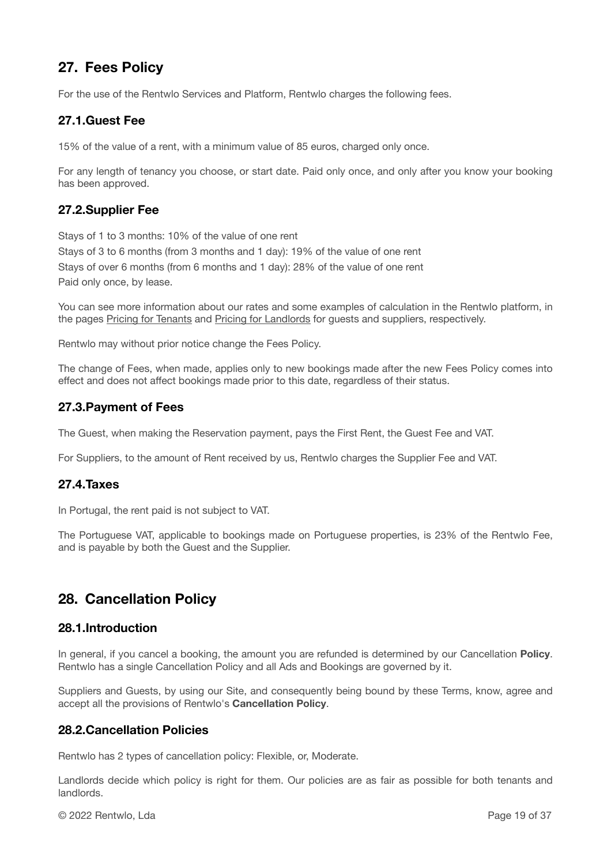# **27. Fees Policy**

For the use of the Rentwlo Services and Platform, Rentwlo charges the following fees.

### **27.1.Guest Fee**

15% of the value of a rent, with a minimum value of 85 euros, charged only once.

For any length of tenancy you choose, or start date. Paid only once, and only after you know your booking has been approved.

### **27.2.Supplier Fee**

Stays of 1 to 3 months: 10% of the value of one rent Stays of 3 to 6 months (from 3 months and 1 day): 19% of the value of one rent Stays of over 6 months (from 6 months and 1 day): 28% of the value of one rent Paid only once, by lease.

You can see more information about our rates and some examples of calculation in the Rentwlo platform, in the pages [Pricing for Tenants](https://www.rentwlo.com/pricing-for-tenants/) and [Pricing for Landlords](https://www.rentwlo.com/pricing-for-landlords/) for guests and suppliers, respectively.

Rentwlo may without prior notice change the Fees Policy.

The change of Fees, when made, applies only to new bookings made after the new Fees Policy comes into effect and does not affect bookings made prior to this date, regardless of their status.

### **27.3.Payment of Fees**

The Guest, when making the Reservation payment, pays the First Rent, the Guest Fee and VAT.

For Suppliers, to the amount of Rent received by us, Rentwlo charges the Supplier Fee and VAT.

#### **27.4.Taxes**

In Portugal, the rent paid is not subject to VAT.

The Portuguese VAT, applicable to bookings made on Portuguese properties, is 23% of the Rentwlo Fee, and is payable by both the Guest and the Supplier.

# **28. Cancellation Policy**

#### **28.1.Introduction**

In general, if you cancel a booking, the amount you are refunded is determined by our Cancellation **Policy**. Rentwlo has a single Cancellation Policy and all Ads and Bookings are governed by it.

Suppliers and Guests, by using our Site, and consequently being bound by these Terms, know, agree and accept all the provisions of Rentwlo's **Cancellation Policy**.

#### **28.2.Cancellation Policies**

Rentwlo has 2 types of cancellation policy: Flexible, or, Moderate.

Landlords decide which policy is right for them. Our policies are as fair as possible for both tenants and landlords.

© 2022 Rentwlo, Lda Page 19 of 37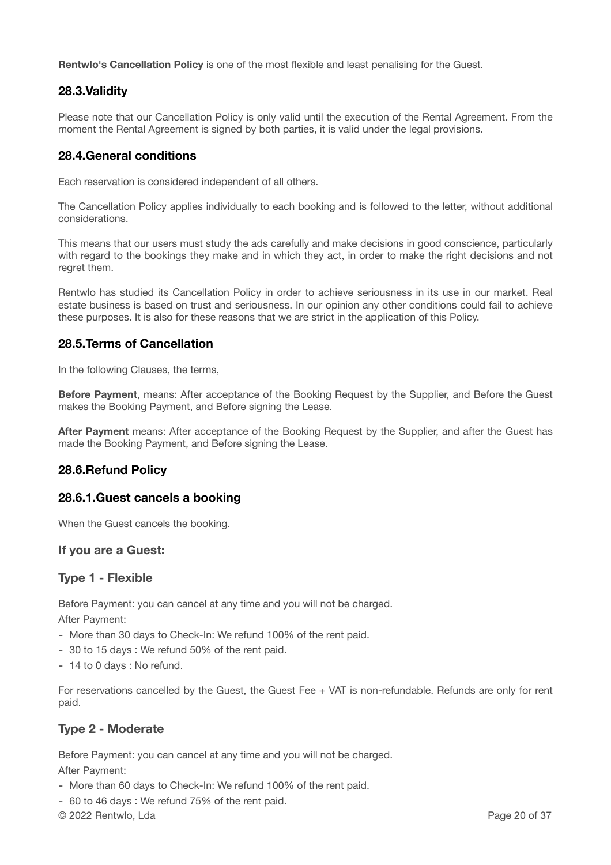**Rentwlo's Cancellation Policy** is one of the most flexible and least penalising for the Guest.

### **28.3.Validity**

Please note that our Cancellation Policy is only valid until the execution of the Rental Agreement. From the moment the Rental Agreement is signed by both parties, it is valid under the legal provisions.

#### **28.4.General conditions**

Each reservation is considered independent of all others.

The Cancellation Policy applies individually to each booking and is followed to the letter, without additional considerations.

This means that our users must study the ads carefully and make decisions in good conscience, particularly with regard to the bookings they make and in which they act, in order to make the right decisions and not regret them.

Rentwlo has studied its Cancellation Policy in order to achieve seriousness in its use in our market. Real estate business is based on trust and seriousness. In our opinion any other conditions could fail to achieve these purposes. It is also for these reasons that we are strict in the application of this Policy.

### **28.5.Terms of Cancellation**

In the following Clauses, the terms,

**Before Payment**, means: After acceptance of the Booking Request by the Supplier, and Before the Guest makes the Booking Payment, and Before signing the Lease.

**After Payment** means: After acceptance of the Booking Request by the Supplier, and after the Guest has made the Booking Payment, and Before signing the Lease.

#### **28.6.Refund Policy**

#### **28.6.1.Guest cancels a booking**

When the Guest cancels the booking.

#### **If you are a Guest:**

#### **Type 1 - Flexible**

Before Payment: you can cancel at any time and you will not be charged. After Payment:

- More than 30 days to Check-In: We refund 100% of the rent paid.
- 30 to 15 days : We refund 50% of the rent paid.
- 14 to 0 days : No refund.

For reservations cancelled by the Guest, the Guest Fee + VAT is non-refundable. Refunds are only for rent paid.

### **Type 2 - Moderate**

Before Payment: you can cancel at any time and you will not be charged. After Payment:

- More than 60 days to Check-In: We refund 100% of the rent paid.
- 60 to 46 days : We refund 75% of the rent paid.

© 2022 Rentwlo, Lda Page 20 of 37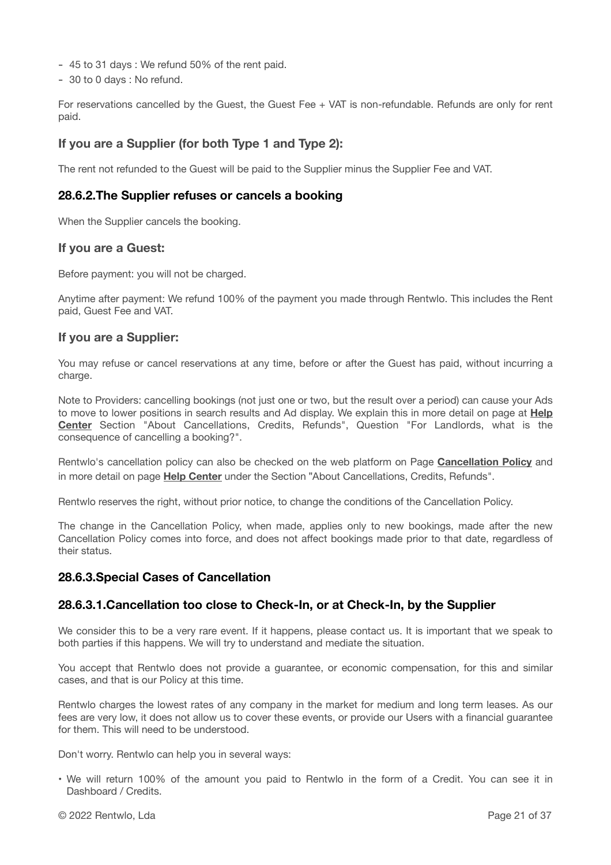- 45 to 31 days : We refund 50% of the rent paid.
- 30 to 0 days : No refund.

For reservations cancelled by the Guest, the Guest Fee + VAT is non-refundable. Refunds are only for rent paid.

#### **If you are a Supplier (for both Type 1 and Type 2):**

The rent not refunded to the Guest will be paid to the Supplier minus the Supplier Fee and VAT.

#### **28.6.2.The Supplier refuses or cancels a booking**

When the Supplier cancels the booking.

#### **If you are a Guest:**

Before payment: you will not be charged.

Anytime after payment: We refund 100% of the payment you made through Rentwlo. This includes the Rent paid, Guest Fee and VAT.

#### **If you are a Supplier:**

You may refuse or cancel reservations at any time, before or after the Guest has paid, without incurring a charge.

Note to Providers: cancelling bookings (not just one or two, but the result over a period) can cause your Ads to move to lower positions in search results and Ad display. We explain this in more detail on page at **[Help](https://www.rentwlo.com/help-center/) [Center](https://www.rentwlo.com/help-center/)** Section "About Cancellations, Credits, Refunds", Question "For Landlords, what is the consequence of cancelling a booking?".

Rentwlo's cancellation policy can also be checked on the web platform on Page **[Cancellation Policy](https://www.rentwlo.com/cancellation-policy/)** and in more detail on page **[Help Center](https://www.rentwlo.com/help-center/)** under the Section "About Cancellations, Credits, Refunds".

Rentwlo reserves the right, without prior notice, to change the conditions of the Cancellation Policy.

The change in the Cancellation Policy, when made, applies only to new bookings, made after the new Cancellation Policy comes into force, and does not affect bookings made prior to that date, regardless of their status.

#### **28.6.3.Special Cases of Cancellation**

#### **28.6.3.1.Cancellation too close to Check-In, or at Check-In, by the Supplier**

We consider this to be a very rare event. If it happens, please contact us. It is important that we speak to both parties if this happens. We will try to understand and mediate the situation.

You accept that Rentwlo does not provide a guarantee, or economic compensation, for this and similar cases, and that is our Policy at this time.

Rentwlo charges the lowest rates of any company in the market for medium and long term leases. As our fees are very low, it does not allow us to cover these events, or provide our Users with a financial guarantee for them. This will need to be understood.

Don't worry. Rentwlo can help you in several ways:

• We will return 100% of the amount you paid to Rentwlo in the form of a Credit. You can see it in Dashboard / Credits.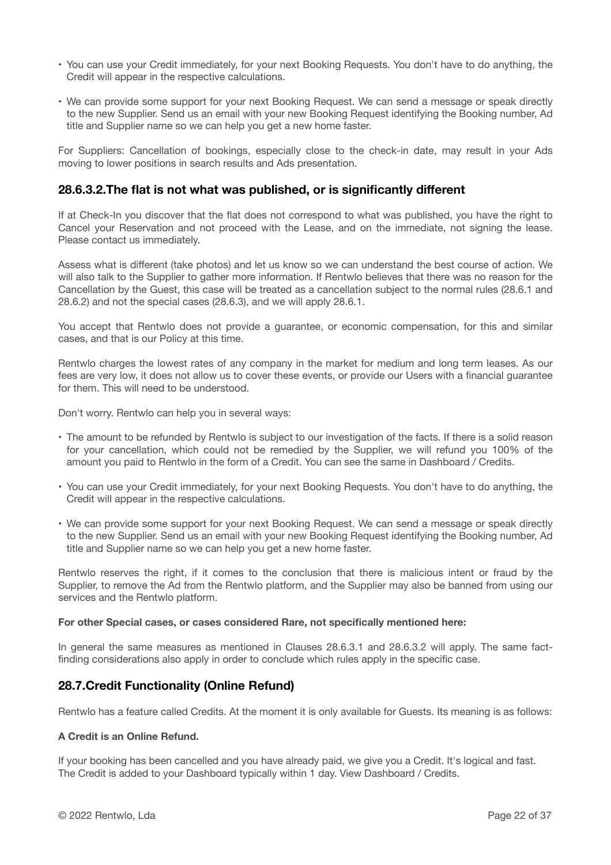- You can use your Credit immediately, for your next Booking Requests. You don't have to do anything, the Credit will appear in the respective calculations.
- We can provide some support for your next Booking Request. We can send a message or speak directly to the new Supplier. Send us an email with your new Booking Request identifying the Booking number, Ad title and Supplier name so we can help you get a new home faster.

For Suppliers: Cancellation of bookings, especially close to the check-in date, may result in your Ads moving to lower positions in search results and Ads presentation.

#### **28.6.3.2.The flat is not what was published, or is significantly different**

If at Check-In you discover that the flat does not correspond to what was published, you have the right to Cancel your Reservation and not proceed with the Lease, and on the immediate, not signing the lease. Please contact us immediately.

Assess what is different (take photos) and let us know so we can understand the best course of action. We will also talk to the Supplier to gather more information. If Rentwlo believes that there was no reason for the Cancellation by the Guest, this case will be treated as a cancellation subject to the normal rules (28.6.1 and 28.6.2) and not the special cases (28.6.3), and we will apply 28.6.1.

You accept that Rentwlo does not provide a guarantee, or economic compensation, for this and similar cases, and that is our Policy at this time.

Rentwlo charges the lowest rates of any company in the market for medium and long term leases. As our fees are very low, it does not allow us to cover these events, or provide our Users with a financial guarantee for them. This will need to be understood.

Don't worry. Rentwlo can help you in several ways:

- The amount to be refunded by Rentwlo is subject to our investigation of the facts. If there is a solid reason for your cancellation, which could not be remedied by the Supplier, we will refund you 100% of the amount you paid to Rentwlo in the form of a Credit. You can see the same in Dashboard / Credits.
- You can use your Credit immediately, for your next Booking Requests. You don't have to do anything, the Credit will appear in the respective calculations.
- We can provide some support for your next Booking Request. We can send a message or speak directly to the new Supplier. Send us an email with your new Booking Request identifying the Booking number, Ad title and Supplier name so we can help you get a new home faster.

Rentwlo reserves the right, if it comes to the conclusion that there is malicious intent or fraud by the Supplier, to remove the Ad from the Rentwlo platform, and the Supplier may also be banned from using our services and the Rentwlo platform.

#### **For other Special cases, or cases considered Rare, not specifically mentioned here:**

In general the same measures as mentioned in Clauses 28.6.3.1 and 28.6.3.2 will apply. The same factfinding considerations also apply in order to conclude which rules apply in the specific case.

#### **28.7.Credit Functionality (Online Refund)**

Rentwlo has a feature called Credits. At the moment it is only available for Guests. Its meaning is as follows:

#### **A Credit is an Online Refund.**

If your booking has been cancelled and you have already paid, we give you a Credit. It's logical and fast. The Credit is added to your Dashboard typically within 1 day. View Dashboard / Credits.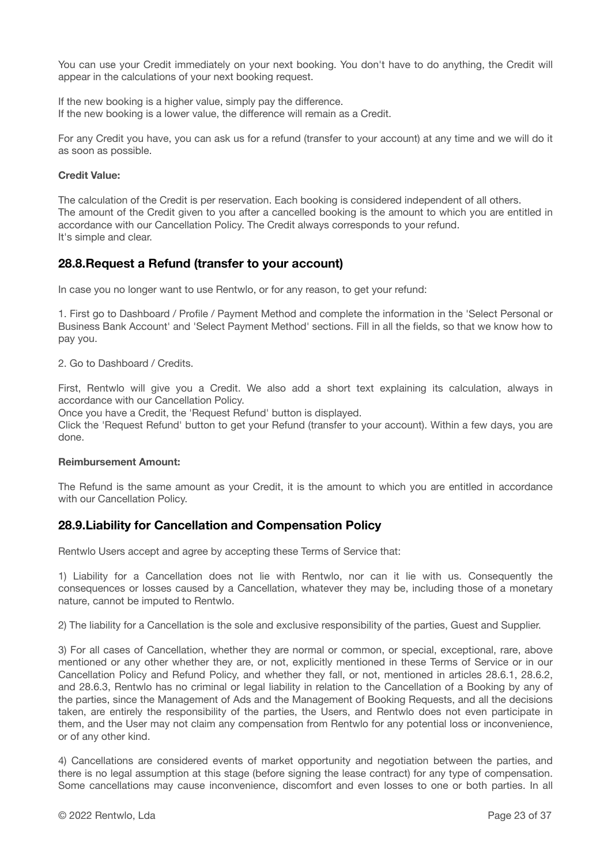You can use your Credit immediately on your next booking. You don't have to do anything, the Credit will appear in the calculations of your next booking request.

If the new booking is a higher value, simply pay the difference. If the new booking is a lower value, the difference will remain as a Credit.

For any Credit you have, you can ask us for a refund (transfer to your account) at any time and we will do it as soon as possible.

#### **Credit Value:**

The calculation of the Credit is per reservation. Each booking is considered independent of all others. The amount of the Credit given to you after a cancelled booking is the amount to which you are entitled in accordance with our Cancellation Policy. The Credit always corresponds to your refund. It's simple and clear.

#### **28.8.Request a Refund (transfer to your account)**

In case you no longer want to use Rentwlo, or for any reason, to get your refund:

1. First go to Dashboard / Profile / Payment Method and complete the information in the 'Select Personal or Business Bank Account' and 'Select Payment Method' sections. Fill in all the fields, so that we know how to pay you.

2. Go to Dashboard / Credits.

First, Rentwlo will give you a Credit. We also add a short text explaining its calculation, always in accordance with our Cancellation Policy.

Once you have a Credit, the 'Request Refund' button is displayed.

Click the 'Request Refund' button to get your Refund (transfer to your account). Within a few days, you are done.

#### **Reimbursement Amount:**

The Refund is the same amount as your Credit, it is the amount to which you are entitled in accordance with our Cancellation Policy.

#### **28.9.Liability for Cancellation and Compensation Policy**

Rentwlo Users accept and agree by accepting these Terms of Service that:

1) Liability for a Cancellation does not lie with Rentwlo, nor can it lie with us. Consequently the consequences or losses caused by a Cancellation, whatever they may be, including those of a monetary nature, cannot be imputed to Rentwlo.

2) The liability for a Cancellation is the sole and exclusive responsibility of the parties, Guest and Supplier.

3) For all cases of Cancellation, whether they are normal or common, or special, exceptional, rare, above mentioned or any other whether they are, or not, explicitly mentioned in these Terms of Service or in our Cancellation Policy and Refund Policy, and whether they fall, or not, mentioned in articles 28.6.1, 28.6.2, and 28.6.3, Rentwlo has no criminal or legal liability in relation to the Cancellation of a Booking by any of the parties, since the Management of Ads and the Management of Booking Requests, and all the decisions taken, are entirely the responsibility of the parties, the Users, and Rentwlo does not even participate in them, and the User may not claim any compensation from Rentwlo for any potential loss or inconvenience, or of any other kind.

4) Cancellations are considered events of market opportunity and negotiation between the parties, and there is no legal assumption at this stage (before signing the lease contract) for any type of compensation. Some cancellations may cause inconvenience, discomfort and even losses to one or both parties. In all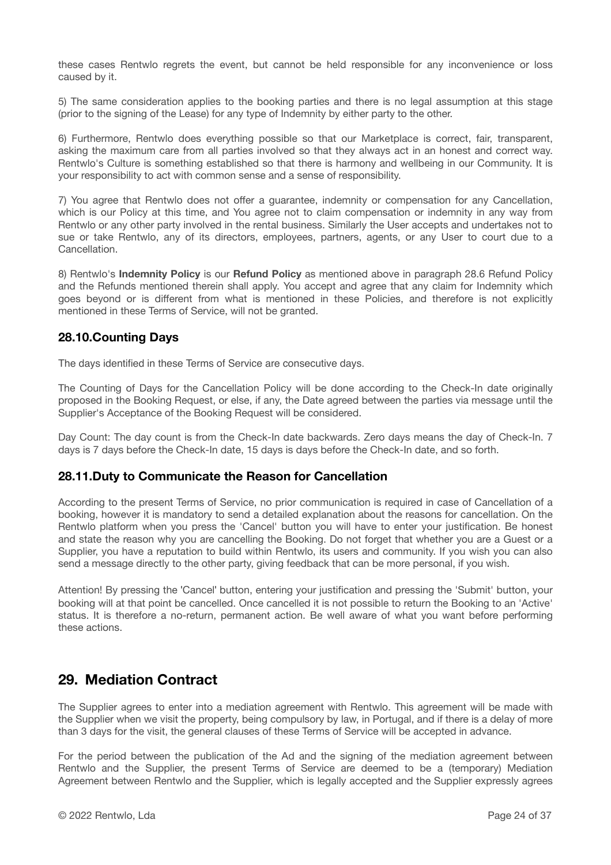these cases Rentwlo regrets the event, but cannot be held responsible for any inconvenience or loss caused by it.

5) The same consideration applies to the booking parties and there is no legal assumption at this stage (prior to the signing of the Lease) for any type of Indemnity by either party to the other.

6) Furthermore, Rentwlo does everything possible so that our Marketplace is correct, fair, transparent, asking the maximum care from all parties involved so that they always act in an honest and correct way. Rentwlo's Culture is something established so that there is harmony and wellbeing in our Community. It is your responsibility to act with common sense and a sense of responsibility.

7) You agree that Rentwlo does not offer a guarantee, indemnity or compensation for any Cancellation, which is our Policy at this time, and You agree not to claim compensation or indemnity in any way from Rentwlo or any other party involved in the rental business. Similarly the User accepts and undertakes not to sue or take Rentwlo, any of its directors, employees, partners, agents, or any User to court due to a **Cancellation** 

8) Rentwlo's **Indemnity Policy** is our **Refund Policy** as mentioned above in paragraph 28.6 Refund Policy and the Refunds mentioned therein shall apply. You accept and agree that any claim for Indemnity which goes beyond or is different from what is mentioned in these Policies, and therefore is not explicitly mentioned in these Terms of Service, will not be granted.

#### **28.10.Counting Days**

The days identified in these Terms of Service are consecutive days.

The Counting of Days for the Cancellation Policy will be done according to the Check-In date originally proposed in the Booking Request, or else, if any, the Date agreed between the parties via message until the Supplier's Acceptance of the Booking Request will be considered.

Day Count: The day count is from the Check-In date backwards. Zero days means the day of Check-In. 7 days is 7 days before the Check-In date, 15 days is days before the Check-In date, and so forth.

### **28.11.Duty to Communicate the Reason for Cancellation**

According to the present Terms of Service, no prior communication is required in case of Cancellation of a booking, however it is mandatory to send a detailed explanation about the reasons for cancellation. On the Rentwlo platform when you press the 'Cancel' button you will have to enter your justification. Be honest and state the reason why you are cancelling the Booking. Do not forget that whether you are a Guest or a Supplier, you have a reputation to build within Rentwlo, its users and community. If you wish you can also send a message directly to the other party, giving feedback that can be more personal, if you wish.

Attention! By pressing the "Cancel" button, entering your justification and pressing the 'Submit' button, your booking will at that point be cancelled. Once cancelled it is not possible to return the Booking to an 'Active' status. It is therefore a no-return, permanent action. Be well aware of what you want before performing these actions.

### **29. Mediation Contract**

The Supplier agrees to enter into a mediation agreement with Rentwlo. This agreement will be made with the Supplier when we visit the property, being compulsory by law, in Portugal, and if there is a delay of more than 3 days for the visit, the general clauses of these Terms of Service will be accepted in advance.

For the period between the publication of the Ad and the signing of the mediation agreement between Rentwlo and the Supplier, the present Terms of Service are deemed to be a (temporary) Mediation Agreement between Rentwlo and the Supplier, which is legally accepted and the Supplier expressly agrees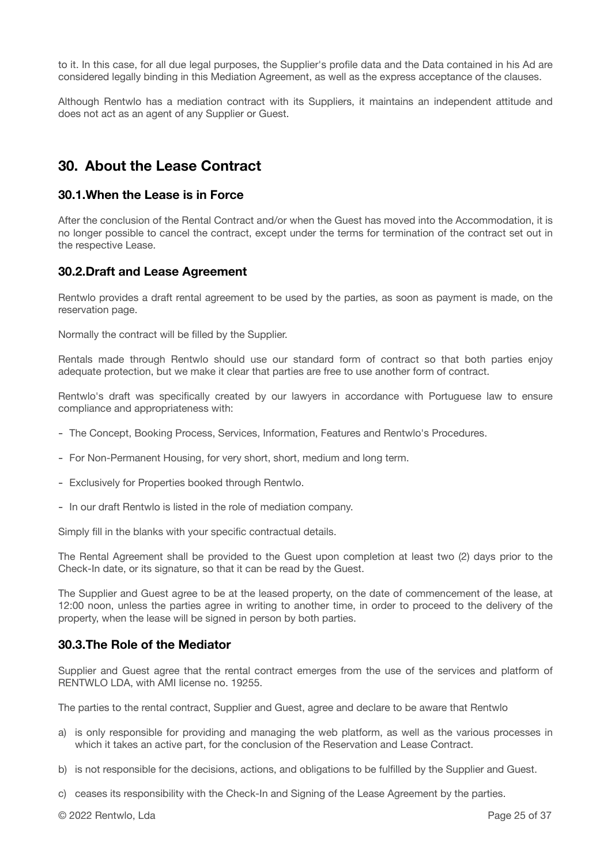to it. In this case, for all due legal purposes, the Supplier's profile data and the Data contained in his Ad are considered legally binding in this Mediation Agreement, as well as the express acceptance of the clauses.

Although Rentwlo has a mediation contract with its Suppliers, it maintains an independent attitude and does not act as an agent of any Supplier or Guest.

### **30. About the Lease Contract**

#### **30.1.When the Lease is in Force**

After the conclusion of the Rental Contract and/or when the Guest has moved into the Accommodation, it is no longer possible to cancel the contract, except under the terms for termination of the contract set out in the respective Lease.

### **30.2.Draft and Lease Agreement**

Rentwlo provides a draft rental agreement to be used by the parties, as soon as payment is made, on the reservation page.

Normally the contract will be filled by the Supplier.

Rentals made through Rentwlo should use our standard form of contract so that both parties enjoy adequate protection, but we make it clear that parties are free to use another form of contract.

Rentwlo's draft was specifically created by our lawyers in accordance with Portuguese law to ensure compliance and appropriateness with:

- The Concept, Booking Process, Services, Information, Features and Rentwlo's Procedures.
- For Non-Permanent Housing, for very short, short, medium and long term.
- Exclusively for Properties booked through Rentwlo.
- In our draft Rentwlo is listed in the role of mediation company.

Simply fill in the blanks with your specific contractual details.

The Rental Agreement shall be provided to the Guest upon completion at least two (2) days prior to the Check-In date, or its signature, so that it can be read by the Guest.

The Supplier and Guest agree to be at the leased property, on the date of commencement of the lease, at 12:00 noon, unless the parties agree in writing to another time, in order to proceed to the delivery of the property, when the lease will be signed in person by both parties.

#### **30.3.The Role of the Mediator**

Supplier and Guest agree that the rental contract emerges from the use of the services and platform of RENTWLO LDA, with AMI license no. 19255.

The parties to the rental contract, Supplier and Guest, agree and declare to be aware that Rentwlo

- a) is only responsible for providing and managing the web platform, as well as the various processes in which it takes an active part, for the conclusion of the Reservation and Lease Contract.
- b) is not responsible for the decisions, actions, and obligations to be fulfilled by the Supplier and Guest.
- c) ceases its responsibility with the Check-In and Signing of the Lease Agreement by the parties.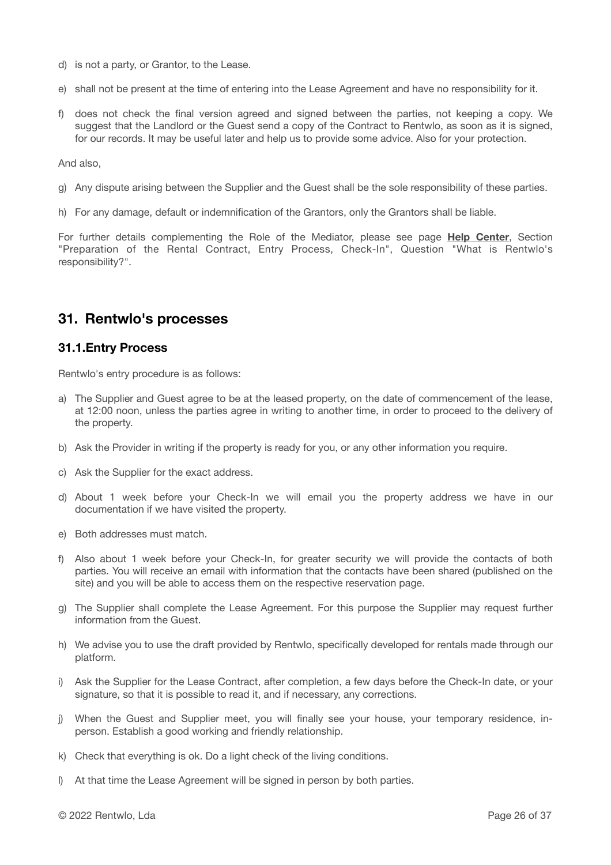- d) is not a party, or Grantor, to the Lease.
- e) shall not be present at the time of entering into the Lease Agreement and have no responsibility for it.
- f) does not check the final version agreed and signed between the parties, not keeping a copy. We suggest that the Landlord or the Guest send a copy of the Contract to Rentwlo, as soon as it is signed, for our records. It may be useful later and help us to provide some advice. Also for your protection.

And also,

- g) Any dispute arising between the Supplier and the Guest shall be the sole responsibility of these parties.
- h) For any damage, default or indemnification of the Grantors, only the Grantors shall be liable.

For further details complementing the Role of the Mediator, please see page **[Help Center](https://www.rentwlo.com/help-center/)**, Section "Preparation of the Rental Contract, Entry Process, Check-In", Question "What is Rentwlo's responsibility?".

### **31. Rentwlo's processes**

#### **31.1.Entry Process**

Rentwlo's entry procedure is as follows:

- a) The Supplier and Guest agree to be at the leased property, on the date of commencement of the lease, at 12:00 noon, unless the parties agree in writing to another time, in order to proceed to the delivery of the property.
- b) Ask the Provider in writing if the property is ready for you, or any other information you require.
- c) Ask the Supplier for the exact address.
- d) About 1 week before your Check-In we will email you the property address we have in our documentation if we have visited the property.
- e) Both addresses must match.
- f) Also about 1 week before your Check-In, for greater security we will provide the contacts of both parties. You will receive an email with information that the contacts have been shared (published on the site) and you will be able to access them on the respective reservation page.
- g) The Supplier shall complete the Lease Agreement. For this purpose the Supplier may request further information from the Guest.
- h) We advise you to use the draft provided by Rentwlo, specifically developed for rentals made through our platform.
- i) Ask the Supplier for the Lease Contract, after completion, a few days before the Check-In date, or your signature, so that it is possible to read it, and if necessary, any corrections.
- j) When the Guest and Supplier meet, you will finally see your house, your temporary residence, inperson. Establish a good working and friendly relationship.
- k) Check that everything is ok. Do a light check of the living conditions.
- l) At that time the Lease Agreement will be signed in person by both parties.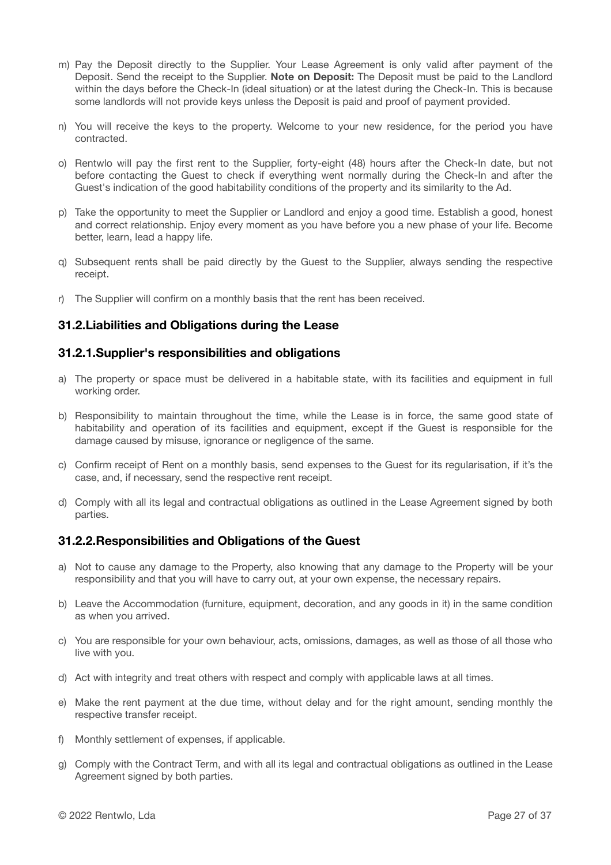- m) Pay the Deposit directly to the Supplier. Your Lease Agreement is only valid after payment of the Deposit. Send the receipt to the Supplier. **Note on Deposit:** The Deposit must be paid to the Landlord within the days before the Check-In (ideal situation) or at the latest during the Check-In. This is because some landlords will not provide keys unless the Deposit is paid and proof of payment provided.
- n) You will receive the keys to the property. Welcome to your new residence, for the period you have contracted.
- o) Rentwlo will pay the first rent to the Supplier, forty-eight (48) hours after the Check-In date, but not before contacting the Guest to check if everything went normally during the Check-In and after the Guest's indication of the good habitability conditions of the property and its similarity to the Ad.
- p) Take the opportunity to meet the Supplier or Landlord and enjoy a good time. Establish a good, honest and correct relationship. Enjoy every moment as you have before you a new phase of your life. Become better, learn, lead a happy life.
- q) Subsequent rents shall be paid directly by the Guest to the Supplier, always sending the respective receipt.
- r) The Supplier will confirm on a monthly basis that the rent has been received.

### **31.2.Liabilities and Obligations during the Lease**

#### **31.2.1.Supplier's responsibilities and obligations**

- a) The property or space must be delivered in a habitable state, with its facilities and equipment in full working order.
- b) Responsibility to maintain throughout the time, while the Lease is in force, the same good state of habitability and operation of its facilities and equipment, except if the Guest is responsible for the damage caused by misuse, ignorance or negligence of the same.
- c) Confirm receipt of Rent on a monthly basis, send expenses to the Guest for its regularisation, if it's the case, and, if necessary, send the respective rent receipt.
- d) Comply with all its legal and contractual obligations as outlined in the Lease Agreement signed by both parties.

#### **31.2.2.Responsibilities and Obligations of the Guest**

- a) Not to cause any damage to the Property, also knowing that any damage to the Property will be your responsibility and that you will have to carry out, at your own expense, the necessary repairs.
- b) Leave the Accommodation (furniture, equipment, decoration, and any goods in it) in the same condition as when you arrived.
- c) You are responsible for your own behaviour, acts, omissions, damages, as well as those of all those who live with you.
- d) Act with integrity and treat others with respect and comply with applicable laws at all times.
- e) Make the rent payment at the due time, without delay and for the right amount, sending monthly the respective transfer receipt.
- f) Monthly settlement of expenses, if applicable.
- g) Comply with the Contract Term, and with all its legal and contractual obligations as outlined in the Lease Agreement signed by both parties.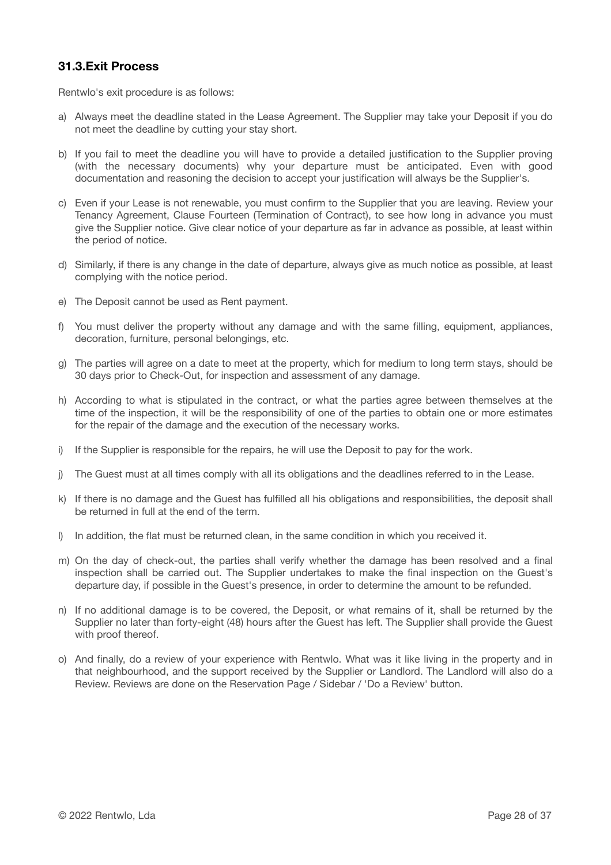### **31.3.Exit Process**

Rentwlo's exit procedure is as follows:

- a) Always meet the deadline stated in the Lease Agreement. The Supplier may take your Deposit if you do not meet the deadline by cutting your stay short.
- b) If you fail to meet the deadline you will have to provide a detailed justification to the Supplier proving (with the necessary documents) why your departure must be anticipated. Even with good documentation and reasoning the decision to accept your justification will always be the Supplier's.
- c) Even if your Lease is not renewable, you must confirm to the Supplier that you are leaving. Review your Tenancy Agreement, Clause Fourteen (Termination of Contract), to see how long in advance you must give the Supplier notice. Give clear notice of your departure as far in advance as possible, at least within the period of notice.
- d) Similarly, if there is any change in the date of departure, always give as much notice as possible, at least complying with the notice period.
- e) The Deposit cannot be used as Rent payment.
- f) You must deliver the property without any damage and with the same filling, equipment, appliances, decoration, furniture, personal belongings, etc.
- g) The parties will agree on a date to meet at the property, which for medium to long term stays, should be 30 days prior to Check-Out, for inspection and assessment of any damage.
- h) According to what is stipulated in the contract, or what the parties agree between themselves at the time of the inspection, it will be the responsibility of one of the parties to obtain one or more estimates for the repair of the damage and the execution of the necessary works.
- i) If the Supplier is responsible for the repairs, he will use the Deposit to pay for the work.
- j) The Guest must at all times comply with all its obligations and the deadlines referred to in the Lease.
- k) If there is no damage and the Guest has fulfilled all his obligations and responsibilities, the deposit shall be returned in full at the end of the term.
- l) In addition, the flat must be returned clean, in the same condition in which you received it.
- m) On the day of check-out, the parties shall verify whether the damage has been resolved and a final inspection shall be carried out. The Supplier undertakes to make the final inspection on the Guest's departure day, if possible in the Guest's presence, in order to determine the amount to be refunded.
- n) If no additional damage is to be covered, the Deposit, or what remains of it, shall be returned by the Supplier no later than forty-eight (48) hours after the Guest has left. The Supplier shall provide the Guest with proof thereof.
- o) And finally, do a review of your experience with Rentwlo. What was it like living in the property and in that neighbourhood, and the support received by the Supplier or Landlord. The Landlord will also do a Review. Reviews are done on the Reservation Page / Sidebar / 'Do a Review' button.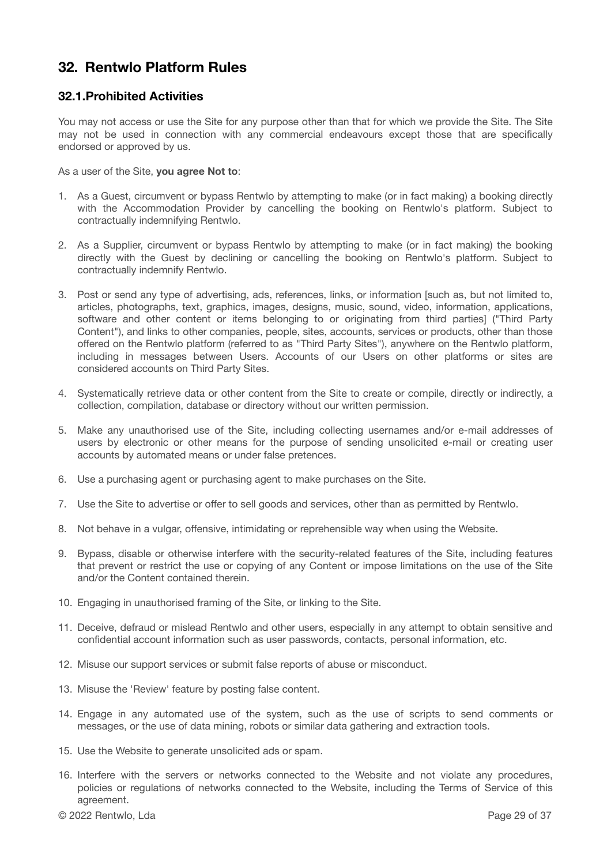## **32. Rentwlo Platform Rules**

### **32.1.Prohibited Activities**

You may not access or use the Site for any purpose other than that for which we provide the Site. The Site may not be used in connection with any commercial endeavours except those that are specifically endorsed or approved by us.

As a user of the Site, **you agree Not to**:

- 1. As a Guest, circumvent or bypass Rentwlo by attempting to make (or in fact making) a booking directly with the Accommodation Provider by cancelling the booking on Rentwlo's platform. Subject to contractually indemnifying Rentwlo.
- 2. As a Supplier, circumvent or bypass Rentwlo by attempting to make (or in fact making) the booking directly with the Guest by declining or cancelling the booking on Rentwlo's platform. Subject to contractually indemnify Rentwlo.
- 3. Post or send any type of advertising, ads, references, links, or information [such as, but not limited to, articles, photographs, text, graphics, images, designs, music, sound, video, information, applications, software and other content or items belonging to or originating from third parties] ("Third Party Content"), and links to other companies, people, sites, accounts, services or products, other than those offered on the Rentwlo platform (referred to as "Third Party Sites"), anywhere on the Rentwlo platform, including in messages between Users. Accounts of our Users on other platforms or sites are considered accounts on Third Party Sites.
- 4. Systematically retrieve data or other content from the Site to create or compile, directly or indirectly, a collection, compilation, database or directory without our written permission.
- 5. Make any unauthorised use of the Site, including collecting usernames and/or e-mail addresses of users by electronic or other means for the purpose of sending unsolicited e-mail or creating user accounts by automated means or under false pretences.
- 6. Use a purchasing agent or purchasing agent to make purchases on the Site.
- 7. Use the Site to advertise or offer to sell goods and services, other than as permitted by Rentwlo.
- 8. Not behave in a vulgar, offensive, intimidating or reprehensible way when using the Website.
- 9. Bypass, disable or otherwise interfere with the security-related features of the Site, including features that prevent or restrict the use or copying of any Content or impose limitations on the use of the Site and/or the Content contained therein.
- 10. Engaging in unauthorised framing of the Site, or linking to the Site.
- 11. Deceive, defraud or mislead Rentwlo and other users, especially in any attempt to obtain sensitive and confidential account information such as user passwords, contacts, personal information, etc.
- 12. Misuse our support services or submit false reports of abuse or misconduct.
- 13. Misuse the 'Review' feature by posting false content.
- 14. Engage in any automated use of the system, such as the use of scripts to send comments or messages, or the use of data mining, robots or similar data gathering and extraction tools.
- 15. Use the Website to generate unsolicited ads or spam.
- 16. Interfere with the servers or networks connected to the Website and not violate any procedures, policies or regulations of networks connected to the Website, including the Terms of Service of this agreement.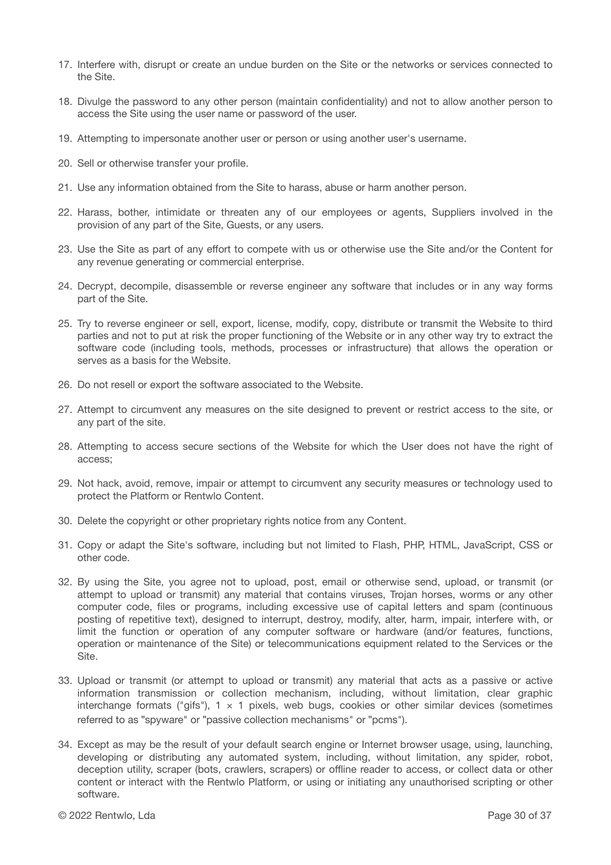- 17. Interfere with, disrupt or create an undue burden on the Site or the networks or services connected to the Site.
- 18. Divulge the password to any other person (maintain confidentiality) and not to allow another person to access the Site using the user name or password of the user.
- 19. Attempting to impersonate another user or person or using another user's username.
- 20. Sell or otherwise transfer your profile.
- 21. Use any information obtained from the Site to harass, abuse or harm another person.
- 22. Harass, bother, intimidate or threaten any of our employees or agents, Suppliers involved in the provision of any part of the Site, Guests, or any users.
- 23. Use the Site as part of any effort to compete with us or otherwise use the Site and/or the Content for any revenue generating or commercial enterprise.
- 24. Decrypt, decompile, disassemble or reverse engineer any software that includes or in any way forms part of the Site.
- 25. Try to reverse engineer or sell, export, license, modify, copy, distribute or transmit the Website to third parties and not to put at risk the proper functioning of the Website or in any other way try to extract the software code (including tools, methods, processes or infrastructure) that allows the operation or serves as a basis for the Website.
- 26. Do not resell or export the software associated to the Website.
- 27. Attempt to circumvent any measures on the site designed to prevent or restrict access to the site, or any part of the site.
- 28. Attempting to access secure sections of the Website for which the User does not have the right of access;
- 29. Not hack, avoid, remove, impair or attempt to circumvent any security measures or technology used to protect the Platform or Rentwlo Content.
- 30. Delete the copyright or other proprietary rights notice from any Content.
- 31. Copy or adapt the Site's software, including but not limited to Flash, PHP, HTML, JavaScript, CSS or other code.
- 32. By using the Site, you agree not to upload, post, email or otherwise send, upload, or transmit (or attempt to upload or transmit) any material that contains viruses, Trojan horses, worms or any other computer code, files or programs, including excessive use of capital letters and spam (continuous posting of repetitive text), designed to interrupt, destroy, modify, alter, harm, impair, interfere with, or limit the function or operation of any computer software or hardware (and/or features, functions, operation or maintenance of the Site) or telecommunications equipment related to the Services or the Site.
- 33. Upload or transmit (or attempt to upload or transmit) any material that acts as a passive or active information transmission or collection mechanism, including, without limitation, clear graphic interchange formats ("gifs"),  $1 \times 1$  pixels, web bugs, cookies or other similar devices (sometimes referred to as "spyware" or "passive collection mechanisms" or "pcms").
- 34. Except as may be the result of your default search engine or Internet browser usage, using, launching, developing or distributing any automated system, including, without limitation, any spider, robot, deception utility, scraper (bots, crawlers, scrapers) or offline reader to access, or collect data or other content or interact with the Rentwlo Platform, or using or initiating any unauthorised scripting or other software.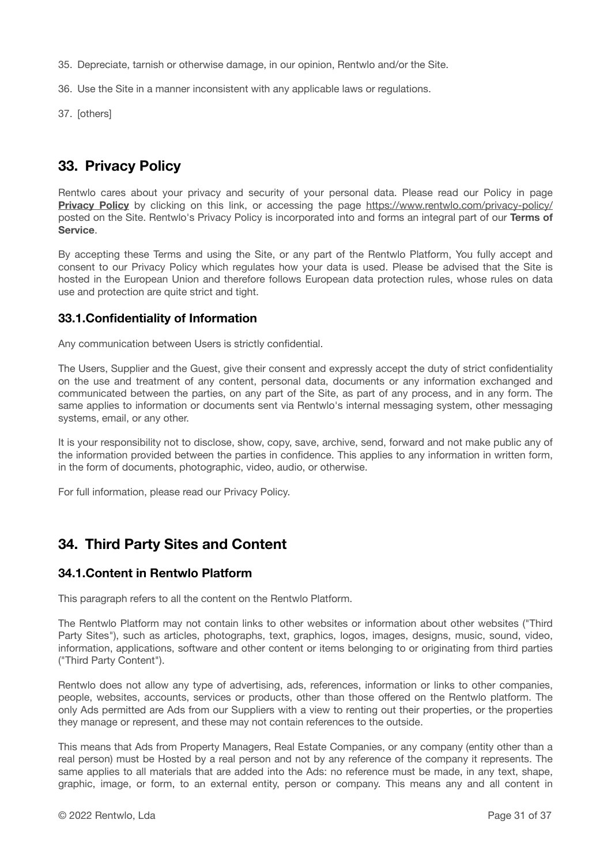- 35. Depreciate, tarnish or otherwise damage, in our opinion, Rentwlo and/or the Site.
- 36. Use the Site in a manner inconsistent with any applicable laws or regulations.
- 37. [others]

# **33. Privacy Policy**

Rentwlo cares about your privacy and security of your personal data. Please read our Policy in page **[Privacy Policy](https://www.rentwlo.com/privacy-policy/)** by clicking on this link, or accessing the page <https://www.rentwlo.com/privacy-policy/> posted on the Site. Rentwlo's Privacy Policy is incorporated into and forms an integral part of our **Terms of Service**.

By accepting these Terms and using the Site, or any part of the Rentwlo Platform, You fully accept and consent to our Privacy Policy which regulates how your data is used. Please be advised that the Site is hosted in the European Union and therefore follows European data protection rules, whose rules on data use and protection are quite strict and tight.

### **33.1.Confidentiality of Information**

Any communication between Users is strictly confidential.

The Users, Supplier and the Guest, give their consent and expressly accept the duty of strict confidentiality on the use and treatment of any content, personal data, documents or any information exchanged and communicated between the parties, on any part of the Site, as part of any process, and in any form. The same applies to information or documents sent via Rentwlo's internal messaging system, other messaging systems, email, or any other.

It is your responsibility not to disclose, show, copy, save, archive, send, forward and not make public any of the information provided between the parties in confidence. This applies to any information in written form, in the form of documents, photographic, video, audio, or otherwise.

For full information, please read our Privacy Policy.

# **34. Third Party Sites and Content**

#### **34.1.Content in Rentwlo Platform**

This paragraph refers to all the content on the Rentwlo Platform.

The Rentwlo Platform may not contain links to other websites or information about other websites ("Third Party Sites"), such as articles, photographs, text, graphics, logos, images, designs, music, sound, video, information, applications, software and other content or items belonging to or originating from third parties ("Third Party Content").

Rentwlo does not allow any type of advertising, ads, references, information or links to other companies, people, websites, accounts, services or products, other than those offered on the Rentwlo platform. The only Ads permitted are Ads from our Suppliers with a view to renting out their properties, or the properties they manage or represent, and these may not contain references to the outside.

This means that Ads from Property Managers, Real Estate Companies, or any company (entity other than a real person) must be Hosted by a real person and not by any reference of the company it represents. The same applies to all materials that are added into the Ads: no reference must be made, in any text, shape, graphic, image, or form, to an external entity, person or company. This means any and all content in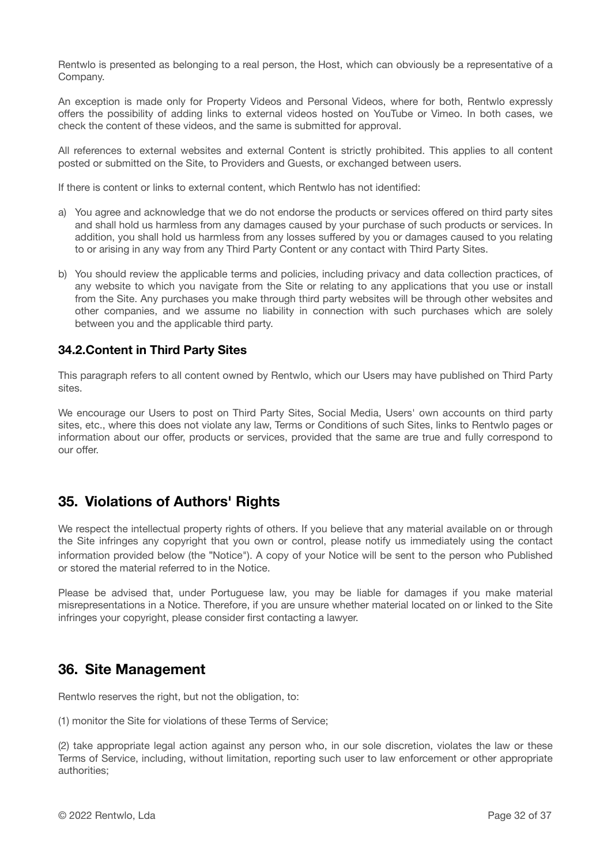Rentwlo is presented as belonging to a real person, the Host, which can obviously be a representative of a Company.

An exception is made only for Property Videos and Personal Videos, where for both, Rentwlo expressly offers the possibility of adding links to external videos hosted on YouTube or Vimeo. In both cases, we check the content of these videos, and the same is submitted for approval.

All references to external websites and external Content is strictly prohibited. This applies to all content posted or submitted on the Site, to Providers and Guests, or exchanged between users.

If there is content or links to external content, which Rentwlo has not identified:

- a) You agree and acknowledge that we do not endorse the products or services offered on third party sites and shall hold us harmless from any damages caused by your purchase of such products or services. In addition, you shall hold us harmless from any losses suffered by you or damages caused to you relating to or arising in any way from any Third Party Content or any contact with Third Party Sites.
- b) You should review the applicable terms and policies, including privacy and data collection practices, of any website to which you navigate from the Site or relating to any applications that you use or install from the Site. Any purchases you make through third party websites will be through other websites and other companies, and we assume no liability in connection with such purchases which are solely between you and the applicable third party.

### **34.2.Content in Third Party Sites**

This paragraph refers to all content owned by Rentwlo, which our Users may have published on Third Party sites.

We encourage our Users to post on Third Party Sites, Social Media, Users' own accounts on third party sites, etc., where this does not violate any law, Terms or Conditions of such Sites, links to Rentwlo pages or information about our offer, products or services, provided that the same are true and fully correspond to our offer.

# **35. Violations of Authors' Rights**

We respect the intellectual property rights of others. If you believe that any material available on or through the Site infringes any copyright that you own or control, please notify us immediately using the contact information provided below (the "Notice"). A copy of your Notice will be sent to the person who Published or stored the material referred to in the Notice.

Please be advised that, under Portuguese law, you may be liable for damages if you make material misrepresentations in a Notice. Therefore, if you are unsure whether material located on or linked to the Site infringes your copyright, please consider first contacting a lawyer.

### **36. Site Management**

Rentwlo reserves the right, but not the obligation, to:

(1) monitor the Site for violations of these Terms of Service;

(2) take appropriate legal action against any person who, in our sole discretion, violates the law or these Terms of Service, including, without limitation, reporting such user to law enforcement or other appropriate authorities;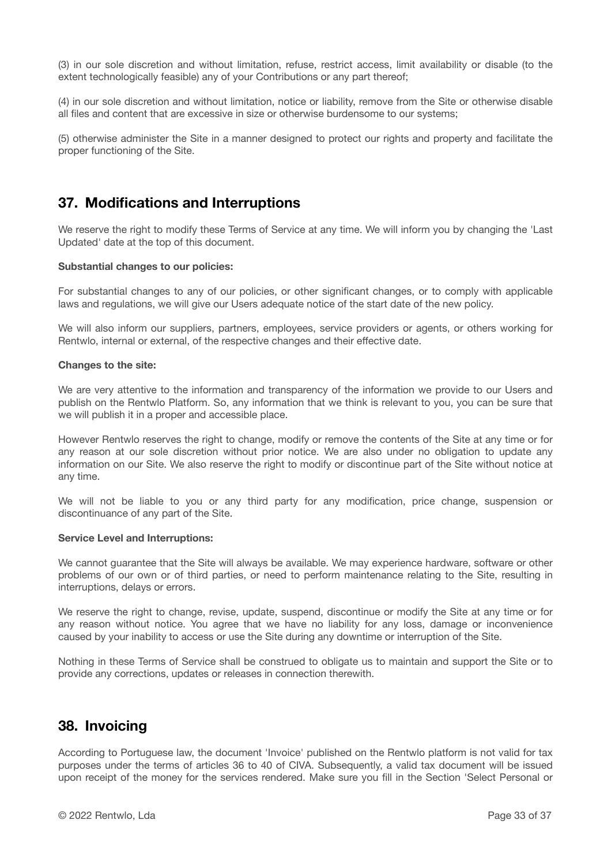(3) in our sole discretion and without limitation, refuse, restrict access, limit availability or disable (to the extent technologically feasible) any of your Contributions or any part thereof;

(4) in our sole discretion and without limitation, notice or liability, remove from the Site or otherwise disable all files and content that are excessive in size or otherwise burdensome to our systems;

(5) otherwise administer the Site in a manner designed to protect our rights and property and facilitate the proper functioning of the Site.

### **37. Modifications and Interruptions**

We reserve the right to modify these Terms of Service at any time. We will inform you by changing the 'Last Updated' date at the top of this document.

#### **Substantial changes to our policies:**

For substantial changes to any of our policies, or other significant changes, or to comply with applicable laws and regulations, we will give our Users adequate notice of the start date of the new policy.

We will also inform our suppliers, partners, employees, service providers or agents, or others working for Rentwlo, internal or external, of the respective changes and their effective date.

#### **Changes to the site:**

We are very attentive to the information and transparency of the information we provide to our Users and publish on the Rentwlo Platform. So, any information that we think is relevant to you, you can be sure that we will publish it in a proper and accessible place.

However Rentwlo reserves the right to change, modify or remove the contents of the Site at any time or for any reason at our sole discretion without prior notice. We are also under no obligation to update any information on our Site. We also reserve the right to modify or discontinue part of the Site without notice at any time.

We will not be liable to you or any third party for any modification, price change, suspension or discontinuance of any part of the Site.

#### **Service Level and Interruptions:**

We cannot guarantee that the Site will always be available. We may experience hardware, software or other problems of our own or of third parties, or need to perform maintenance relating to the Site, resulting in interruptions, delays or errors.

We reserve the right to change, revise, update, suspend, discontinue or modify the Site at any time or for any reason without notice. You agree that we have no liability for any loss, damage or inconvenience caused by your inability to access or use the Site during any downtime or interruption of the Site.

Nothing in these Terms of Service shall be construed to obligate us to maintain and support the Site or to provide any corrections, updates or releases in connection therewith.

### **38. Invoicing**

According to Portuguese law, the document 'Invoice' published on the Rentwlo platform is not valid for tax purposes under the terms of articles 36 to 40 of CIVA. Subsequently, a valid tax document will be issued upon receipt of the money for the services rendered. Make sure you fill in the Section 'Select Personal or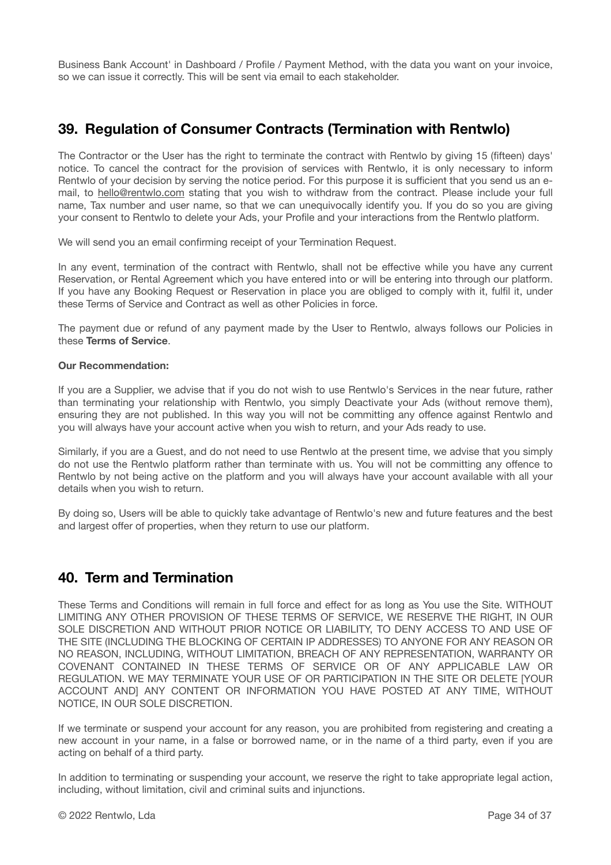Business Bank Account' in Dashboard / Profile / Payment Method, with the data you want on your invoice, so we can issue it correctly. This will be sent via email to each stakeholder.

# **39. Regulation of Consumer Contracts (Termination with Rentwlo)**

The Contractor or the User has the right to terminate the contract with Rentwlo by giving 15 (fifteen) days' notice. To cancel the contract for the provision of services with Rentwlo, it is only necessary to inform Rentwlo of your decision by serving the notice period. For this purpose it is sufficient that you send us an email, to [hello@rentwlo.com](mailto:hello@rentwlo.com) stating that you wish to withdraw from the contract. Please include your full name, Tax number and user name, so that we can unequivocally identify you. If you do so you are giving your consent to Rentwlo to delete your Ads, your Profile and your interactions from the Rentwlo platform.

We will send you an email confirming receipt of your Termination Request.

In any event, termination of the contract with Rentwlo, shall not be effective while you have any current Reservation, or Rental Agreement which you have entered into or will be entering into through our platform. If you have any Booking Request or Reservation in place you are obliged to comply with it, fulfil it, under these Terms of Service and Contract as well as other Policies in force.

The payment due or refund of any payment made by the User to Rentwlo, always follows our Policies in these **Terms of Service**.

#### **Our Recommendation:**

If you are a Supplier, we advise that if you do not wish to use Rentwlo's Services in the near future, rather than terminating your relationship with Rentwlo, you simply Deactivate your Ads (without remove them), ensuring they are not published. In this way you will not be committing any offence against Rentwlo and you will always have your account active when you wish to return, and your Ads ready to use.

Similarly, if you are a Guest, and do not need to use Rentwlo at the present time, we advise that you simply do not use the Rentwlo platform rather than terminate with us. You will not be committing any offence to Rentwlo by not being active on the platform and you will always have your account available with all your details when you wish to return.

By doing so, Users will be able to quickly take advantage of Rentwlo's new and future features and the best and largest offer of properties, when they return to use our platform.

# **40. Term and Termination**

These Terms and Conditions will remain in full force and effect for as long as You use the Site. WITHOUT LIMITING ANY OTHER PROVISION OF THESE TERMS OF SERVICE, WE RESERVE THE RIGHT, IN OUR SOLE DISCRETION AND WITHOUT PRIOR NOTICE OR LIABILITY, TO DENY ACCESS TO AND USE OF THE SITE (INCLUDING THE BLOCKING OF CERTAIN IP ADDRESSES) TO ANYONE FOR ANY REASON OR NO REASON, INCLUDING, WITHOUT LIMITATION, BREACH OF ANY REPRESENTATION, WARRANTY OR COVENANT CONTAINED IN THESE TERMS OF SERVICE OR OF ANY APPLICABLE LAW OR REGULATION. WE MAY TERMINATE YOUR USE OF OR PARTICIPATION IN THE SITE OR DELETE [YOUR ACCOUNT AND] ANY CONTENT OR INFORMATION YOU HAVE POSTED AT ANY TIME, WITHOUT NOTICE, IN OUR SOLE DISCRETION.

If we terminate or suspend your account for any reason, you are prohibited from registering and creating a new account in your name, in a false or borrowed name, or in the name of a third party, even if you are acting on behalf of a third party.

In addition to terminating or suspending your account, we reserve the right to take appropriate legal action, including, without limitation, civil and criminal suits and injunctions.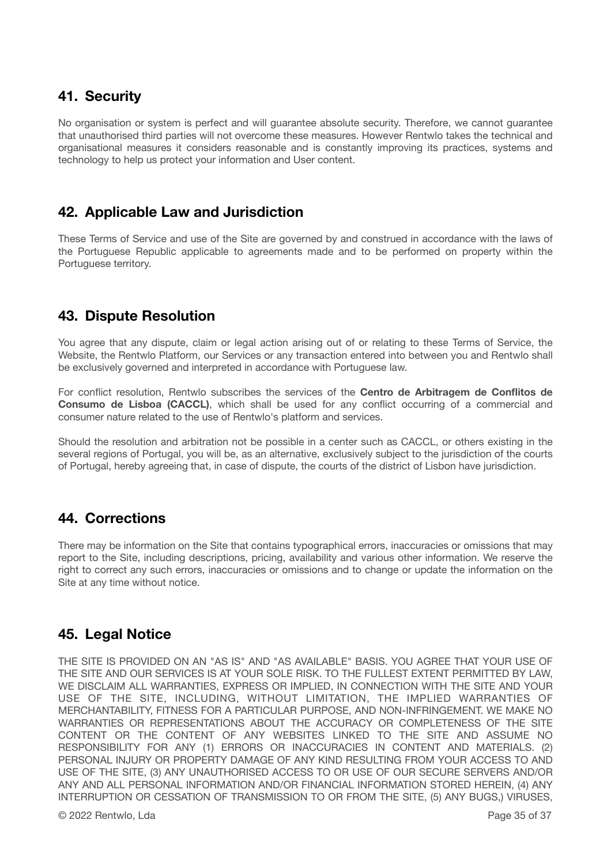# **41. Security**

No organisation or system is perfect and will guarantee absolute security. Therefore, we cannot guarantee that unauthorised third parties will not overcome these measures. However Rentwlo takes the technical and organisational measures it considers reasonable and is constantly improving its practices, systems and technology to help us protect your information and User content.

### **42. Applicable Law and Jurisdiction**

These Terms of Service and use of the Site are governed by and construed in accordance with the laws of the Portuguese Republic applicable to agreements made and to be performed on property within the Portuguese territory.

# **43. Dispute Resolution**

You agree that any dispute, claim or legal action arising out of or relating to these Terms of Service, the Website, the Rentwlo Platform, our Services or any transaction entered into between you and Rentwlo shall be exclusively governed and interpreted in accordance with Portuguese law.

For conflict resolution, Rentwlo subscribes the services of the **Centro de Arbitragem de Conflitos de Consumo de Lisboa (CACCL)**, which shall be used for any conflict occurring of a commercial and consumer nature related to the use of Rentwlo's platform and services.

Should the resolution and arbitration not be possible in a center such as CACCL, or others existing in the several regions of Portugal, you will be, as an alternative, exclusively subject to the jurisdiction of the courts of Portugal, hereby agreeing that, in case of dispute, the courts of the district of Lisbon have jurisdiction.

### **44. Corrections**

There may be information on the Site that contains typographical errors, inaccuracies or omissions that may report to the Site, including descriptions, pricing, availability and various other information. We reserve the right to correct any such errors, inaccuracies or omissions and to change or update the information on the Site at any time without notice.

# **45. Legal Notice**

THE SITE IS PROVIDED ON AN "AS IS" AND "AS AVAILABLE" BASIS. YOU AGREE THAT YOUR USE OF THE SITE AND OUR SERVICES IS AT YOUR SOLE RISK. TO THE FULLEST EXTENT PERMITTED BY LAW, WE DISCLAIM ALL WARRANTIES, EXPRESS OR IMPLIED, IN CONNECTION WITH THE SITE AND YOUR USE OF THE SITE, INCLUDING, WITHOUT LIMITATION, THE IMPLIED WARRANTIES OF MERCHANTABILITY, FITNESS FOR A PARTICULAR PURPOSE, AND NON-INFRINGEMENT. WE MAKE NO WARRANTIES OR REPRESENTATIONS ABOUT THE ACCURACY OR COMPLETENESS OF THE SITE CONTENT OR THE CONTENT OF ANY WEBSITES LINKED TO THE SITE AND ASSUME NO RESPONSIBILITY FOR ANY (1) ERRORS OR INACCURACIES IN CONTENT AND MATERIALS. (2) PERSONAL INJURY OR PROPERTY DAMAGE OF ANY KIND RESULTING FROM YOUR ACCESS TO AND USE OF THE SITE, (3) ANY UNAUTHORISED ACCESS TO OR USE OF OUR SECURE SERVERS AND/OR ANY AND ALL PERSONAL INFORMATION AND/OR FINANCIAL INFORMATION STORED HEREIN, (4) ANY INTERRUPTION OR CESSATION OF TRANSMISSION TO OR FROM THE SITE, (5) ANY BUGS,) VIRUSES,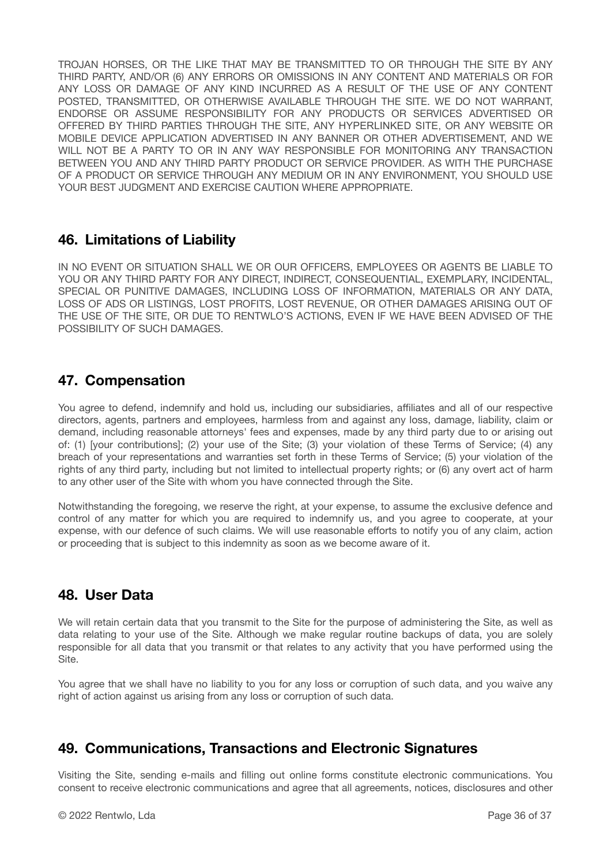TROJAN HORSES, OR THE LIKE THAT MAY BE TRANSMITTED TO OR THROUGH THE SITE BY ANY THIRD PARTY, AND/OR (6) ANY ERRORS OR OMISSIONS IN ANY CONTENT AND MATERIALS OR FOR ANY LOSS OR DAMAGE OF ANY KIND INCURRED AS A RESULT OF THE USE OF ANY CONTENT POSTED, TRANSMITTED, OR OTHERWISE AVAILABLE THROUGH THE SITE. WE DO NOT WARRANT, ENDORSE OR ASSUME RESPONSIBILITY FOR ANY PRODUCTS OR SERVICES ADVERTISED OR OFFERED BY THIRD PARTIES THROUGH THE SITE, ANY HYPERLINKED SITE, OR ANY WEBSITE OR MOBILE DEVICE APPLICATION ADVERTISED IN ANY BANNER OR OTHER ADVERTISEMENT, AND WE WILL NOT BE A PARTY TO OR IN ANY WAY RESPONSIBLE FOR MONITORING ANY TRANSACTION BETWEEN YOU AND ANY THIRD PARTY PRODUCT OR SERVICE PROVIDER. AS WITH THE PURCHASE OF A PRODUCT OR SERVICE THROUGH ANY MEDIUM OR IN ANY ENVIRONMENT, YOU SHOULD USE YOUR BEST JUDGMENT AND EXERCISE CAUTION WHERE APPROPRIATE.

### **46. Limitations of Liability**

IN NO EVENT OR SITUATION SHALL WE OR OUR OFFICERS, EMPLOYEES OR AGENTS BE LIABLE TO YOU OR ANY THIRD PARTY FOR ANY DIRECT, INDIRECT, CONSEQUENTIAL, EXEMPLARY, INCIDENTAL, SPECIAL OR PUNITIVE DAMAGES, INCLUDING LOSS OF INFORMATION, MATERIALS OR ANY DATA, LOSS OF ADS OR LISTINGS, LOST PROFITS, LOST REVENUE, OR OTHER DAMAGES ARISING OUT OF THE USE OF THE SITE, OR DUE TO RENTWLO'S ACTIONS, EVEN IF WE HAVE BEEN ADVISED OF THE POSSIBILITY OF SUCH DAMAGES.

# **47. Compensation**

You agree to defend, indemnify and hold us, including our subsidiaries, affiliates and all of our respective directors, agents, partners and employees, harmless from and against any loss, damage, liability, claim or demand, including reasonable attorneys' fees and expenses, made by any third party due to or arising out of: (1) [your contributions]; (2) your use of the Site; (3) your violation of these Terms of Service; (4) any breach of your representations and warranties set forth in these Terms of Service; (5) your violation of the rights of any third party, including but not limited to intellectual property rights; or (6) any overt act of harm to any other user of the Site with whom you have connected through the Site.

Notwithstanding the foregoing, we reserve the right, at your expense, to assume the exclusive defence and control of any matter for which you are required to indemnify us, and you agree to cooperate, at your expense, with our defence of such claims. We will use reasonable efforts to notify you of any claim, action or proceeding that is subject to this indemnity as soon as we become aware of it.

### **48. User Data**

We will retain certain data that you transmit to the Site for the purpose of administering the Site, as well as data relating to your use of the Site. Although we make regular routine backups of data, you are solely responsible for all data that you transmit or that relates to any activity that you have performed using the Site.

You agree that we shall have no liability to you for any loss or corruption of such data, and you waive any right of action against us arising from any loss or corruption of such data.

### **49. Communications, Transactions and Electronic Signatures**

Visiting the Site, sending e-mails and filling out online forms constitute electronic communications. You consent to receive electronic communications and agree that all agreements, notices, disclosures and other